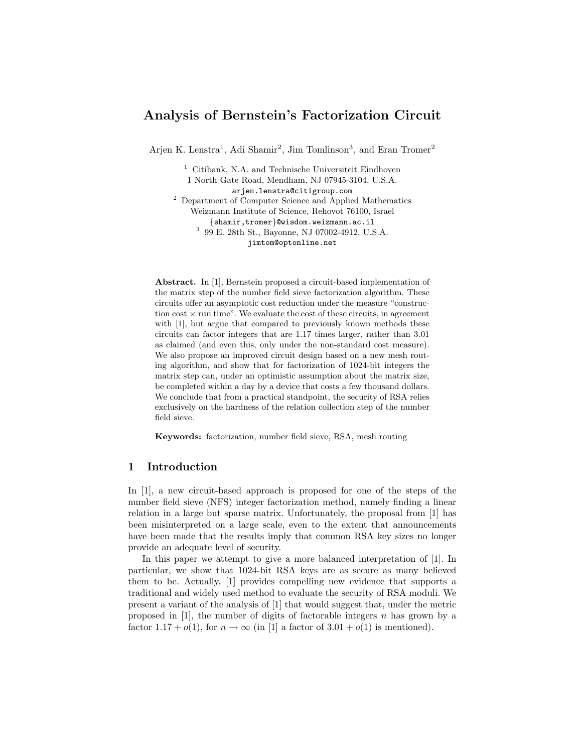# Analysis of Bernstein's Factorization Circuit

Arjen K. Lenstra<sup>1</sup>, Adi Shamir<sup>2</sup>, Jim Tomlinson<sup>3</sup>, and Eran Tromer<sup>2</sup>

<sup>1</sup> Citibank, N.A. and Technische Universiteit Eindhoven 1 North Gate Road, Mendham, NJ 07945-3104, U.S.A. arjen.lenstra@citigroup.com <sup>2</sup> Department of Computer Science and Applied Mathematics Weizmann Institute of Science, Rehovot 76100, Israel {shamir,tromer}@wisdom.weizmann.ac.il 3 99 E. 28th St., Bayonne, NJ 07002-4912, U.S.A. jimtom@optonline.net

Abstract. In [1], Bernstein proposed a circuit-based implementation of the matrix step of the number field sieve factorization algorithm. These circuits offer an asymptotic cost reduction under the measure "construction  $\text{cost} \times \text{run time}$ . We evaluate the cost of these circuits, in agreement with [1], but argue that compared to previously known methods these circuits can factor integers that are 1.17 times larger, rather than 3.01 as claimed (and even this, only under the non-standard cost measure). We also propose an improved circuit design based on a new mesh routing algorithm, and show that for factorization of 1024-bit integers the matrix step can, under an optimistic assumption about the matrix size, be completed within a day by a device that costs a few thousand dollars. We conclude that from a practical standpoint, the security of RSA relies exclusively on the hardness of the relation collection step of the number field sieve.

Keywords: factorization, number field sieve, RSA, mesh routing

#### 1 Introduction

In [1], a new circuit-based approach is proposed for one of the steps of the number field sieve (NFS) integer factorization method, namely finding a linear relation in a large but sparse matrix. Unfortunately, the proposal from [1] has been misinterpreted on a large scale, even to the extent that announcements have been made that the results imply that common RSA key sizes no longer provide an adequate level of security.

In this paper we attempt to give a more balanced interpretation of [1]. In particular, we show that 1024-bit RSA keys are as secure as many believed them to be. Actually, [1] provides compelling new evidence that supports a traditional and widely used method to evaluate the security of RSA moduli. We present a variant of the analysis of [1] that would suggest that, under the metric proposed in [1], the number of digits of factorable integers  $n$  has grown by a factor 1.17 +  $o(1)$ , for  $n \to \infty$  (in [1] a factor of 3.01 +  $o(1)$  is mentioned).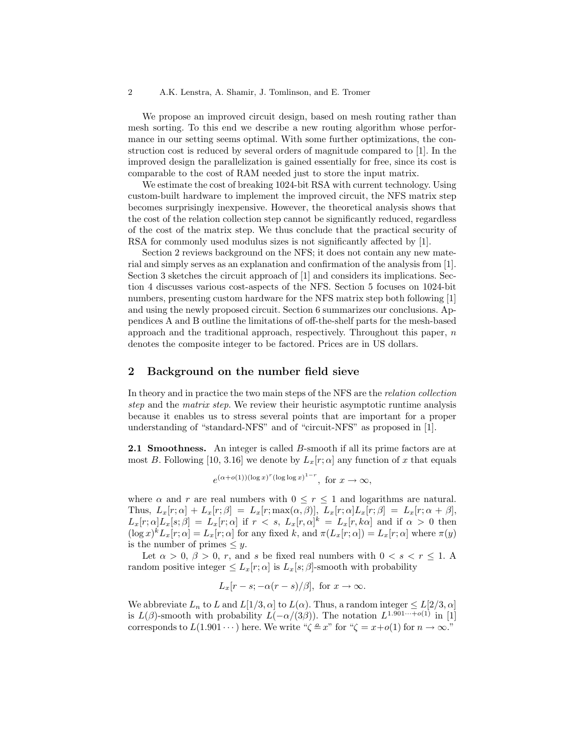#### 2 A.K. Lenstra, A. Shamir, J. Tomlinson, and E. Tromer

We propose an improved circuit design, based on mesh routing rather than mesh sorting. To this end we describe a new routing algorithm whose performance in our setting seems optimal. With some further optimizations, the construction cost is reduced by several orders of magnitude compared to [1]. In the improved design the parallelization is gained essentially for free, since its cost is comparable to the cost of RAM needed just to store the input matrix.

We estimate the cost of breaking 1024-bit RSA with current technology. Using custom-built hardware to implement the improved circuit, the NFS matrix step becomes surprisingly inexpensive. However, the theoretical analysis shows that the cost of the relation collection step cannot be significantly reduced, regardless of the cost of the matrix step. We thus conclude that the practical security of RSA for commonly used modulus sizes is not significantly affected by [1].

Section 2 reviews background on the NFS; it does not contain any new material and simply serves as an explanation and confirmation of the analysis from [1]. Section 3 sketches the circuit approach of [1] and considers its implications. Section 4 discusses various cost-aspects of the NFS. Section 5 focuses on 1024-bit numbers, presenting custom hardware for the NFS matrix step both following [1] and using the newly proposed circuit. Section 6 summarizes our conclusions. Appendices A and B outline the limitations of off-the-shelf parts for the mesh-based approach and the traditional approach, respectively. Throughout this paper,  $n$ denotes the composite integer to be factored. Prices are in US dollars.

## 2 Background on the number field sieve

In theory and in practice the two main steps of the NFS are the relation collection step and the *matrix step*. We review their heuristic asymptotic runtime analysis because it enables us to stress several points that are important for a proper understanding of "standard-NFS" and of "circuit-NFS" as proposed in [1].

2.1 Smoothness. An integer is called B-smooth if all its prime factors are at most B. Following [10, 3.16] we denote by  $L_x[r; \alpha]$  any function of x that equals

$$
e^{(\alpha + o(1))(\log x)^r(\log \log x)^{1-r}}
$$
, for  $x \to \infty$ ,

where  $\alpha$  and r are real numbers with  $0 \leq r \leq 1$  and logarithms are natural. Thus,  $L_x[r; \alpha] + L_x[r; \beta] = L_x[r; \max(\alpha, \beta)], L_x[r; \alpha]L_x[r; \beta] = L_x[r; \alpha + \beta],$  $L_x[r;\alpha]L_x[s;\beta] = L_x[r;\alpha]$  if  $r < s$ ,  $L_x[r;\alpha]^k = L_x[r,k\alpha]$  and if  $\alpha > 0$  then  $(\log x)^k L_x[r; \alpha] = L_x[r; \alpha]$  for any fixed k, and  $\pi(L_x[r; \alpha]) = L_x[r; \alpha]$  where  $\pi(y)$ is the number of primes  $\leq y$ .

Let  $\alpha > 0$ ,  $\beta > 0$ , r, and s be fixed real numbers with  $0 < s < r \leq 1$ . A random positive integer  $\leq L_x[r;\alpha]$  is  $L_x[s;\beta]$ -smooth with probability

$$
L_x[r-s; -\alpha(r-s)/\beta]
$$
, for  $x \to \infty$ .

We abbreviate  $L_n$  to L and  $L[1/3, \alpha]$  to  $L(\alpha)$ . Thus, a random integer  $\leq L[2/3, \alpha]$ is  $L(\beta)$ -smooth with probability  $L(-\alpha/(3\beta))$ . The notation  $L^{1.901\cdots +o(1)}$  in [1] corresponds to  $L(1.901 \cdots)$  here. We write " $\zeta \triangleq x$ " for " $\zeta = x+o(1)$  for  $n \to \infty$ ."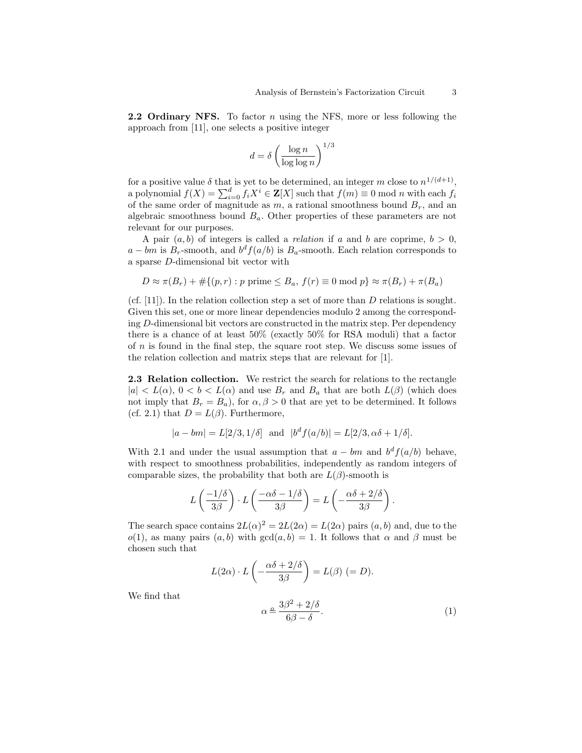2.2 Ordinary NFS. To factor *n* using the NFS, more or less following the approach from [11], one selects a positive integer

$$
d = \delta \left( \frac{\log n}{\log \log n} \right)^{1/3}
$$

for a positive value  $\delta$  that is yet to be determined, an integer m close to  $n^{1/(d+1)}$ , a polynomial  $f(X) = \sum_{i=0}^{d} f_i X^i \in \mathbf{Z}[X]$  such that  $f(m) \equiv 0 \mod n$  with each  $f_i$ of the same order of magnitude as  $m$ , a rational smoothness bound  $B_r$ , and an algebraic smoothness bound  $B_a$ . Other properties of these parameters are not relevant for our purposes.

A pair  $(a, b)$  of integers is called a *relation* if a and b are coprime,  $b > 0$ ,  $a - bm$  is  $B_r$ -smooth, and  $b^d f(a/b)$  is  $B_a$ -smooth. Each relation corresponds to a sparse D-dimensional bit vector with

$$
D \approx \pi(B_r) + \#\{(p, r) : p \text{ prime} \leq B_a, f(r) \equiv 0 \bmod p\} \approx \pi(B_r) + \pi(B_a)
$$

(cf.  $[11]$ ). In the relation collection step a set of more than D relations is sought. Given this set, one or more linear dependencies modulo 2 among the corresponding D-dimensional bit vectors are constructed in the matrix step. Per dependency there is a chance of at least 50% (exactly 50% for RSA moduli) that a factor of n is found in the final step, the square root step. We discuss some issues of the relation collection and matrix steps that are relevant for [1].

2.3 Relation collection. We restrict the search for relations to the rectangle  $|a| < L(\alpha)$ ,  $0 < b < L(\alpha)$  and use  $B_r$  and  $B_a$  that are both  $L(\beta)$  (which does not imply that  $B_r = B_a$ , for  $\alpha, \beta > 0$  that are yet to be determined. It follows (cf. 2.1) that  $D = L(\beta)$ . Furthermore,

$$
|a - bm| = L[2/3, 1/\delta]
$$
 and  $|b^d f(a/b)| = L[2/3, \alpha\delta + 1/\delta].$ 

With 2.1 and under the usual assumption that  $a - bm$  and  $b^d f(a/b)$  behave, with respect to smoothness probabilities, independently as random integers of comparable sizes, the probability that both are  $L(\beta)$ -smooth is

$$
L\left(\frac{-1/\delta}{3\beta}\right) \cdot L\left(\frac{-\alpha\delta - 1/\delta}{3\beta}\right) = L\left(-\frac{\alpha\delta + 2/\delta}{3\beta}\right).
$$

The search space contains  $2L(\alpha)^2 = 2L(2\alpha) = L(2\alpha)$  pairs  $(a, b)$  and, due to the  $o(1)$ , as many pairs  $(a, b)$  with  $gcd(a, b) = 1$ . It follows that  $\alpha$  and  $\beta$  must be chosen such that

$$
L(2\alpha) \cdot L\left(-\frac{\alpha \delta + 2/\delta}{3\beta}\right) = L(\beta) (= D).
$$

We find that

$$
\alpha \triangleq \frac{3\beta^2 + 2/\delta}{6\beta - \delta}.\tag{1}
$$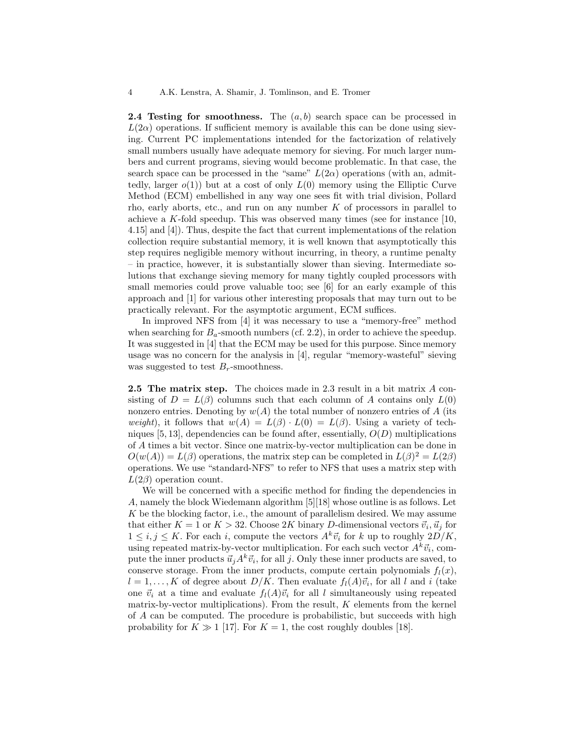**2.4 Testing for smoothness.** The  $(a, b)$  search space can be processed in  $L(2\alpha)$  operations. If sufficient memory is available this can be done using sieving. Current PC implementations intended for the factorization of relatively small numbers usually have adequate memory for sieving. For much larger numbers and current programs, sieving would become problematic. In that case, the search space can be processed in the "same"  $L(2\alpha)$  operations (with an, admittedly, larger  $o(1)$  but at a cost of only  $L(0)$  memory using the Elliptic Curve Method (ECM) embellished in any way one sees fit with trial division, Pollard rho, early aborts, etc., and run on any number  $K$  of processors in parallel to achieve a K-fold speedup. This was observed many times (see for instance [10, 4.15] and [4]). Thus, despite the fact that current implementations of the relation collection require substantial memory, it is well known that asymptotically this step requires negligible memory without incurring, in theory, a runtime penalty – in practice, however, it is substantially slower than sieving. Intermediate solutions that exchange sieving memory for many tightly coupled processors with small memories could prove valuable too; see [6] for an early example of this approach and [1] for various other interesting proposals that may turn out to be practically relevant. For the asymptotic argument, ECM suffices.

In improved NFS from [4] it was necessary to use a "memory-free" method when searching for  $B_a$ -smooth numbers (cf. 2.2), in order to achieve the speedup. It was suggested in [4] that the ECM may be used for this purpose. Since memory usage was no concern for the analysis in [4], regular "memory-wasteful" sieving was suggested to test  $B_r$ -smoothness.

**2.5 The matrix step.** The choices made in 2.3 result in a bit matrix A consisting of  $D = L(\beta)$  columns such that each column of A contains only  $L(0)$ nonzero entries. Denoting by  $w(A)$  the total number of nonzero entries of A (its weight), it follows that  $w(A) = L(\beta) \cdot L(0) = L(\beta)$ . Using a variety of techniques [5, 13], dependencies can be found after, essentially,  $O(D)$  multiplications of A times a bit vector. Since one matrix-by-vector multiplication can be done in  $O(w(A)) = L(\beta)$  operations, the matrix step can be completed in  $L(\beta)^2 = L(2\beta)$ operations. We use "standard-NFS" to refer to NFS that uses a matrix step with  $L(2\beta)$  operation count.

We will be concerned with a specific method for finding the dependencies in A, namely the block Wiedemann algorithm [5][18] whose outline is as follows. Let K be the blocking factor, i.e., the amount of parallelism desired. We may assume that either  $K = 1$  or  $K > 32$ . Choose 2K binary D-dimensional vectors  $\vec{v}_i, \vec{u}_j$  for  $1 \leq i, j \leq K$ . For each i, compute the vectors  $A^k \vec{v}_i$  for k up to roughly  $2D/K$ , using repeated matrix-by-vector multiplication. For each such vector  $A^k \vec{v}_i$ , compute the inner products  $\vec{u}_j A^k \vec{v}_i$ , for all j. Only these inner products are saved, to conserve storage. From the inner products, compute certain polynomials  $f_l(x)$ ,  $l = 1, \ldots, K$  of degree about  $D/K$ . Then evaluate  $f_l(A)\vec{v}_i$ , for all l and i (take one  $\vec{v}_i$  at a time and evaluate  $f_l(A)\vec{v}_i$  for all l simultaneously using repeated matrix-by-vector multiplications). From the result,  $K$  elements from the kernel of A can be computed. The procedure is probabilistic, but succeeds with high probability for  $K \gg 1$  [17]. For  $K = 1$ , the cost roughly doubles [18].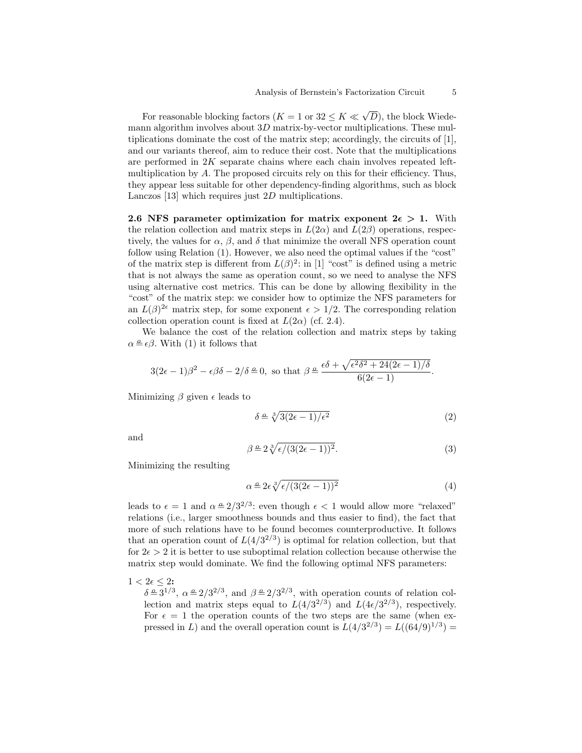For reasonable blocking factors  $(K = 1 \text{ or } 32 \leq K \ll \sqrt{D})$ , the block Wiedemann algorithm involves about  $3D$  matrix-by-vector multiplications. These multiplications dominate the cost of the matrix step; accordingly, the circuits of [1], and our variants thereof, aim to reduce their cost. Note that the multiplications are performed in  $2K$  separate chains where each chain involves repeated leftmultiplication by A. The proposed circuits rely on this for their efficiency. Thus, they appear less suitable for other dependency-finding algorithms, such as block Lanczos [13] which requires just 2D multiplications.

2.6 NFS parameter optimization for matrix exponent  $2\epsilon > 1$ . With the relation collection and matrix steps in  $L(2\alpha)$  and  $L(2\beta)$  operations, respectively, the values for  $\alpha$ ,  $\beta$ , and  $\delta$  that minimize the overall NFS operation count follow using Relation (1). However, we also need the optimal values if the "cost" of the matrix step is different from  $L(\beta)^2$ : in [1] "cost" is defined using a metric that is not always the same as operation count, so we need to analyse the NFS using alternative cost metrics. This can be done by allowing flexibility in the "cost" of the matrix step: we consider how to optimize the NFS parameters for an  $L(\beta)^{2\epsilon}$  matrix step, for some exponent  $\epsilon > 1/2$ . The corresponding relation collection operation count is fixed at  $L(2\alpha)$  (cf. 2.4).

We balance the cost of the relation collection and matrix steps by taking  $\alpha \triangleq \epsilon \beta$ . With (1) it follows that

$$
3(2\epsilon - 1)\beta^2 - \epsilon \beta \delta - 2/\delta \triangleq 0
$$
, so that  $\beta \triangleq \frac{\epsilon \delta + \sqrt{\epsilon^2 \delta^2 + 24(2\epsilon - 1)/\delta}}{6(2\epsilon - 1)}$ .

Minimizing  $\beta$  given  $\epsilon$  leads to

$$
\delta \triangleq \sqrt[3]{3(2\epsilon - 1)/\epsilon^2} \tag{2}
$$

and

$$
\beta \triangleq 2\sqrt[3]{\epsilon/(3(2\epsilon - 1))^2}.
$$
 (3)

Minimizing the resulting

$$
\alpha \triangleq 2\epsilon \sqrt[3]{\epsilon/(3(2\epsilon - 1))^2} \tag{4}
$$

leads to  $\epsilon = 1$  and  $\alpha \triangleq 2/3^{2/3}$ : even though  $\epsilon < 1$  would allow more "relaxed" relations (i.e., larger smoothness bounds and thus easier to find), the fact that more of such relations have to be found becomes counterproductive. It follows that an operation count of  $L(4/3^{2/3})$  is optimal for relation collection, but that for  $2\epsilon > 2$  it is better to use suboptimal relation collection because otherwise the matrix step would dominate. We find the following optimal NFS parameters:

- $1 < 2\epsilon \leq 2$ :
	- $\delta = 3^{1/3}, \ \alpha = 2/3^{2/3}, \text{ and } \beta = 2/3^{2/3}, \text{ with operation counts of relation col$ lection and matrix steps equal to  $L(4/3^{2/3})$  and  $L(4\epsilon/3^{2/3})$ , respectively. For  $\epsilon = 1$  the operation counts of the two steps are the same (when expressed in L) and the overall operation count is  $L(4/3^{2/3}) = L((64/9)^{1/3}) =$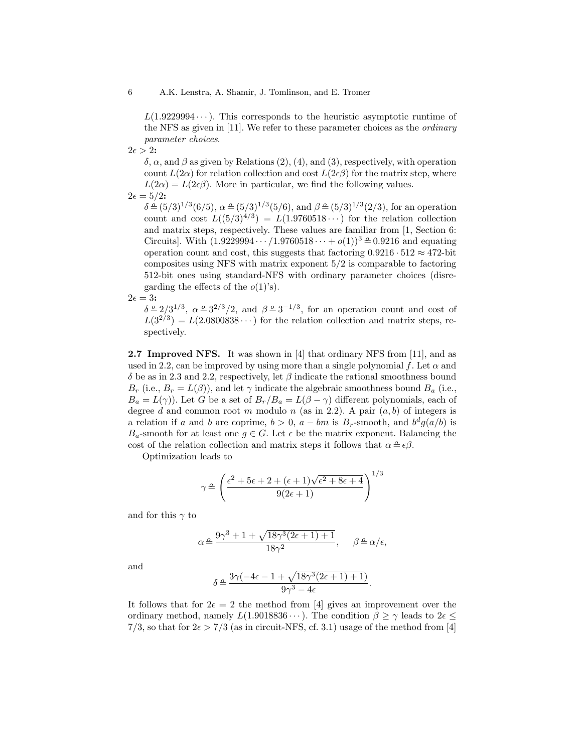6 A.K. Lenstra, A. Shamir, J. Tomlinson, and E. Tromer

 $L(1.9229994 \cdots)$ . This corresponds to the heuristic asymptotic runtime of the NFS as given in [11]. We refer to these parameter choices as the ordinary parameter choices.

 $2\epsilon > 2$ :

δ, α, and β as given by Relations (2), (4), and (3), respectively, with operation count  $L(2\alpha)$  for relation collection and cost  $L(2\epsilon\beta)$  for the matrix step, where  $L(2\alpha) = L(2\epsilon\beta)$ . More in particular, we find the following values.

$$
2\epsilon = 5/2:
$$

 $\delta \triangleq (5/3)^{1/3}(6/5), \alpha \triangleq (5/3)^{1/3}(5/6), \text{ and } \beta \triangleq (5/3)^{1/3}(2/3), \text{ for an operation}$ count and cost  $L((5/3)^{4/3}) = L(1.9760518 \cdots)$  for the relation collection and matrix steps, respectively. These values are familiar from [1, Section 6: Circuits]. With  $(1.9229994 \cdots / 1.9760518 \cdots + o(1))^3 \triangleq 0.9216$  and equating operation count and cost, this suggests that factoring  $0.9216 \cdot 512 \approx 472$ -bit composites using NFS with matrix exponent 5/2 is comparable to factoring 512-bit ones using standard-NFS with ordinary parameter choices (disregarding the effects of the  $o(1)$ 's).

$$
2\epsilon=3\mathbf{:}
$$

 $\delta \triangleq 2/3^{1/3}$ ,  $\alpha \triangleq 3^{2/3}/2$ , and  $\beta \triangleq 3^{-1/3}$ , for an operation count and cost of  $L(3^{2/3}) = L(2.0800838 \cdots)$  for the relation collection and matrix steps, respectively.

2.7 Improved NFS. It was shown in [4] that ordinary NFS from [11], and as used in 2.2, can be improved by using more than a single polynomial f. Let  $\alpha$  and δ be as in 2.3 and 2.2, respectively, let β indicate the rational smoothness bound  $B_r$  (i.e.,  $B_r = L(\beta)$ ), and let  $\gamma$  indicate the algebraic smoothness bound  $B_a$  (i.e.,  $B_a = L(\gamma)$ . Let G be a set of  $B_r/B_a = L(\beta - \gamma)$  different polynomials, each of degree d and common root m modulo n (as in 2.2). A pair  $(a, b)$  of integers is a relation if a and b are coprime,  $b > 0$ ,  $a - bm$  is  $B_r$ -smooth, and  $b^d g(a/b)$  is  $B_a$ -smooth for at least one  $g \in G$ . Let  $\epsilon$  be the matrix exponent. Balancing the cost of the relation collection and matrix steps it follows that  $\alpha \triangleq \epsilon \beta$ .

Optimization leads to

$$
\gamma \triangleq \left(\frac{\epsilon^2 + 5\epsilon + 2 + (\epsilon + 1)\sqrt{\epsilon^2 + 8\epsilon + 4}}{9(2\epsilon + 1)}\right)^{1/3}
$$

and for this  $\gamma$  to

$$
\alpha \triangleq \frac{9\gamma^3 + 1 + \sqrt{18\gamma^3(2\epsilon + 1) + 1}}{18\gamma^2}, \quad \beta \triangleq \alpha/\epsilon,
$$

and

$$
\delta \triangleq \frac{3\gamma(-4\epsilon-1+\sqrt{18\gamma^3(2\epsilon+1)+1})}{9\gamma^3-4\epsilon}
$$

.

It follows that for  $2\epsilon = 2$  the method from [4] gives an improvement over the ordinary method, namely  $L(1.9018836 \cdots)$ . The condition  $\beta \ge \gamma$  leads to  $2\epsilon \le$ 7/3, so that for  $2\epsilon > 7/3$  (as in circuit-NFS, cf. 3.1) usage of the method from [4]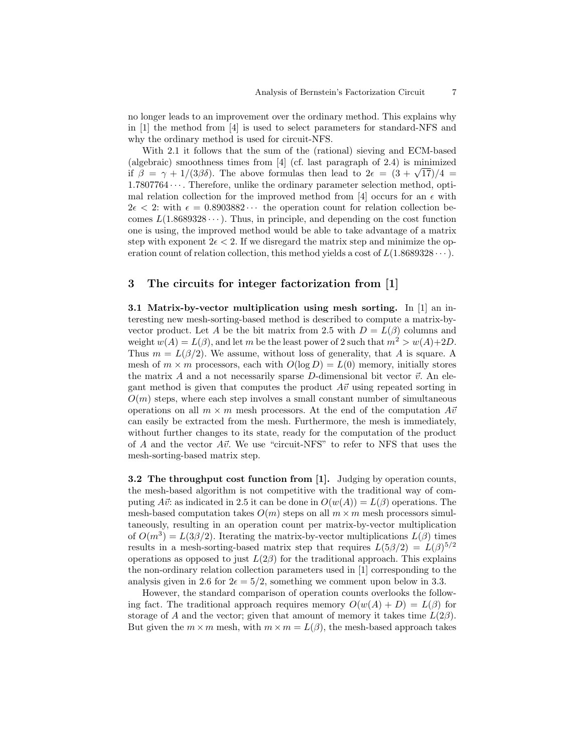no longer leads to an improvement over the ordinary method. This explains why in [1] the method from [4] is used to select parameters for standard-NFS and why the ordinary method is used for circuit-NFS.

With 2.1 it follows that the sum of the (rational) sieving and ECM-based (algebraic) smoothness times from [4] (cf. last paragraph of 2.4) is minimized if  $\beta = \gamma + 1/(3\beta\delta)$ . The above formulas then lead to  $2\epsilon = (3 + \sqrt{17})/4 =$  $1.7807764 \cdots$ . Therefore, unlike the ordinary parameter selection method, optimal relation collection for the improved method from [4] occurs for an  $\epsilon$  with  $2\epsilon$  < 2: with  $\epsilon = 0.8903882 \cdots$  the operation count for relation collection becomes  $L(1.8689328...)$ . Thus, in principle, and depending on the cost function one is using, the improved method would be able to take advantage of a matrix step with exponent  $2\epsilon < 2$ . If we disregard the matrix step and minimize the operation count of relation collection, this method yields a cost of  $L(1.8689328 \cdots)$ .

## 3 The circuits for integer factorization from [1]

3.1 Matrix-by-vector multiplication using mesh sorting. In [1] an interesting new mesh-sorting-based method is described to compute a matrix-byvector product. Let A be the bit matrix from 2.5 with  $D = L(\beta)$  columns and weight  $w(A) = L(\beta)$ , and let m be the least power of 2 such that  $m^2 > w(A)+2D$ . Thus  $m = L(\beta/2)$ . We assume, without loss of generality, that A is square. A mesh of  $m \times m$  processors, each with  $O(\log D) = L(0)$  memory, initially stores the matrix A and a not necessarily sparse D-dimensional bit vector  $\vec{v}$ . An elegant method is given that computes the product  $A\vec{v}$  using repeated sorting in  $O(m)$  steps, where each step involves a small constant number of simultaneous operations on all  $m \times m$  mesh processors. At the end of the computation  $A\vec{v}$ can easily be extracted from the mesh. Furthermore, the mesh is immediately, without further changes to its state, ready for the computation of the product of A and the vector  $A\vec{v}$ . We use "circuit-NFS" to refer to NFS that uses the mesh-sorting-based matrix step.

3.2 The throughput cost function from [1]. Judging by operation counts, the mesh-based algorithm is not competitive with the traditional way of computing  $A\vec{v}$ : as indicated in 2.5 it can be done in  $O(w(A)) = L(\beta)$  operations. The mesh-based computation takes  $O(m)$  steps on all  $m \times m$  mesh processors simultaneously, resulting in an operation count per matrix-by-vector multiplication of  $O(m^3) = L(3\beta/2)$ . Iterating the matrix-by-vector multiplications  $L(\beta)$  times results in a mesh-sorting-based matrix step that requires  $L(5\beta/2) = L(\beta)^{5/2}$ operations as opposed to just  $L(2\beta)$  for the traditional approach. This explains the non-ordinary relation collection parameters used in [1] corresponding to the analysis given in 2.6 for  $2\epsilon = 5/2$ , something we comment upon below in 3.3.

However, the standard comparison of operation counts overlooks the following fact. The traditional approach requires memory  $O(w(A) + D) = L(\beta)$  for storage of A and the vector; given that amount of memory it takes time  $L(2\beta)$ . But given the  $m \times m$  mesh, with  $m \times m = L(\beta)$ , the mesh-based approach takes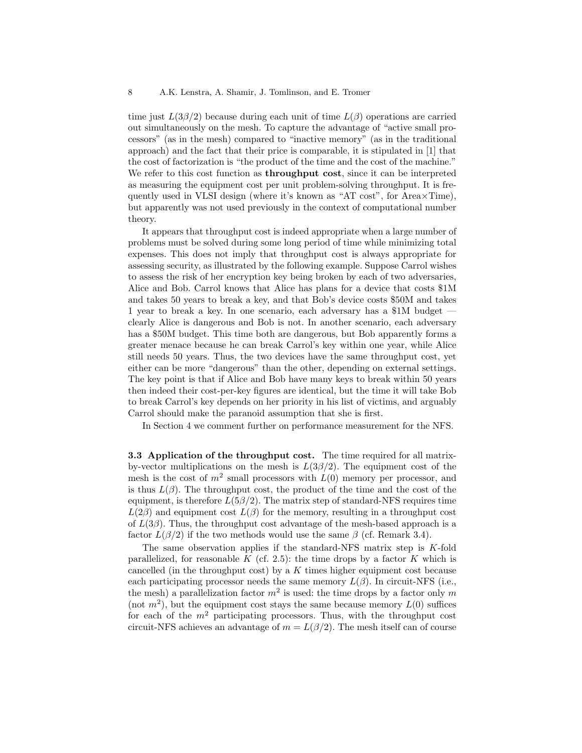time just  $L(3\beta/2)$  because during each unit of time  $L(\beta)$  operations are carried out simultaneously on the mesh. To capture the advantage of "active small processors" (as in the mesh) compared to "inactive memory" (as in the traditional approach) and the fact that their price is comparable, it is stipulated in [1] that the cost of factorization is "the product of the time and the cost of the machine." We refer to this cost function as **throughput cost**, since it can be interpreted as measuring the equipment cost per unit problem-solving throughput. It is frequently used in VLSI design (where it's known as "AT cost", for Area×Time), but apparently was not used previously in the context of computational number theory.

It appears that throughput cost is indeed appropriate when a large number of problems must be solved during some long period of time while minimizing total expenses. This does not imply that throughput cost is always appropriate for assessing security, as illustrated by the following example. Suppose Carrol wishes to assess the risk of her encryption key being broken by each of two adversaries, Alice and Bob. Carrol knows that Alice has plans for a device that costs \$1M and takes 50 years to break a key, and that Bob's device costs \$50M and takes 1 year to break a key. In one scenario, each adversary has a \$1M budget clearly Alice is dangerous and Bob is not. In another scenario, each adversary has a \$50M budget. This time both are dangerous, but Bob apparently forms a greater menace because he can break Carrol's key within one year, while Alice still needs 50 years. Thus, the two devices have the same throughput cost, yet either can be more "dangerous" than the other, depending on external settings. The key point is that if Alice and Bob have many keys to break within 50 years then indeed their cost-per-key figures are identical, but the time it will take Bob to break Carrol's key depends on her priority in his list of victims, and arguably Carrol should make the paranoid assumption that she is first.

In Section 4 we comment further on performance measurement for the NFS.

3.3 Application of the throughput cost. The time required for all matrixby-vector multiplications on the mesh is  $L(3\beta/2)$ . The equipment cost of the mesh is the cost of  $m^2$  small processors with  $L(0)$  memory per processor, and is thus  $L(\beta)$ . The throughput cost, the product of the time and the cost of the equipment, is therefore  $L(5\beta/2)$ . The matrix step of standard-NFS requires time  $L(2\beta)$  and equipment cost  $L(\beta)$  for the memory, resulting in a throughput cost of  $L(3\beta)$ . Thus, the throughput cost advantage of the mesh-based approach is a factor  $L(\beta/2)$  if the two methods would use the same  $\beta$  (cf. Remark 3.4).

The same observation applies if the standard-NFS matrix step is K-fold parallelized, for reasonable  $K$  (cf. 2.5): the time drops by a factor  $K$  which is cancelled (in the throughput cost) by a  $K$  times higher equipment cost because each participating processor needs the same memory  $L(\beta)$ . In circuit-NFS (i.e., the mesh) a parallelization factor  $m^2$  is used: the time drops by a factor only m (not  $m<sup>2</sup>$ ), but the equipment cost stays the same because memory  $L(0)$  suffices for each of the  $m^2$  participating processors. Thus, with the throughput cost circuit-NFS achieves an advantage of  $m = L(\beta/2)$ . The mesh itself can of course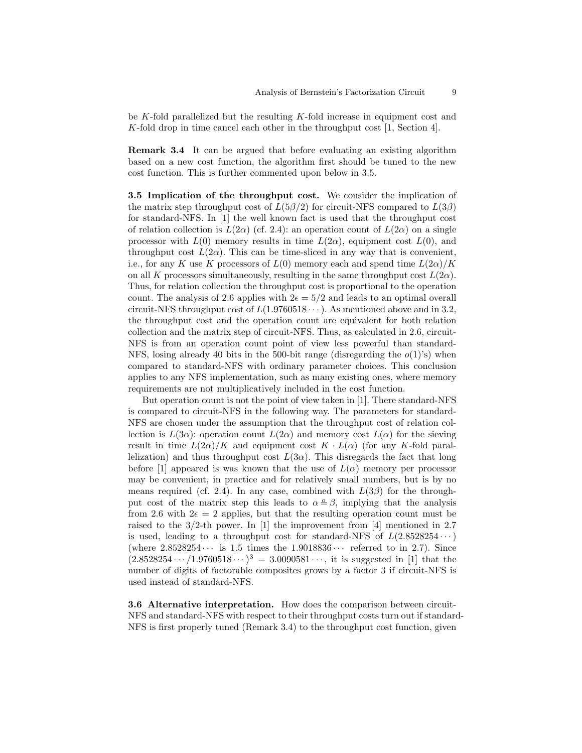be K-fold parallelized but the resulting K-fold increase in equipment cost and K-fold drop in time cancel each other in the throughput cost [1, Section 4].

Remark 3.4 It can be argued that before evaluating an existing algorithm based on a new cost function, the algorithm first should be tuned to the new cost function. This is further commented upon below in 3.5.

3.5 Implication of the throughput cost. We consider the implication of the matrix step throughput cost of  $L(5\beta/2)$  for circuit-NFS compared to  $L(3\beta)$ for standard-NFS. In [1] the well known fact is used that the throughput cost of relation collection is  $L(2\alpha)$  (cf. 2.4): an operation count of  $L(2\alpha)$  on a single processor with  $L(0)$  memory results in time  $L(2\alpha)$ , equipment cost  $L(0)$ , and throughput cost  $L(2\alpha)$ . This can be time-sliced in any way that is convenient, i.e., for any K use K processors of  $L(0)$  memory each and spend time  $L(2\alpha)/K$ on all K processors simultaneously, resulting in the same throughput cost  $L(2\alpha)$ . Thus, for relation collection the throughput cost is proportional to the operation count. The analysis of 2.6 applies with  $2\epsilon = 5/2$  and leads to an optimal overall circuit-NFS throughput cost of  $L(1.9760518 \cdots)$ . As mentioned above and in 3.2, the throughput cost and the operation count are equivalent for both relation collection and the matrix step of circuit-NFS. Thus, as calculated in 2.6, circuit-NFS is from an operation count point of view less powerful than standard-NFS, losing already 40 bits in the 500-bit range (disregarding the  $o(1)$ 's) when compared to standard-NFS with ordinary parameter choices. This conclusion applies to any NFS implementation, such as many existing ones, where memory requirements are not multiplicatively included in the cost function.

But operation count is not the point of view taken in [1]. There standard-NFS is compared to circuit-NFS in the following way. The parameters for standard-NFS are chosen under the assumption that the throughput cost of relation collection is  $L(3\alpha)$ : operation count  $L(2\alpha)$  and memory cost  $L(\alpha)$  for the sieving result in time  $L(2\alpha)/K$  and equipment cost  $K \cdot L(\alpha)$  (for any K-fold parallelization) and thus throughput cost  $L(3\alpha)$ . This disregards the fact that long before [1] appeared is was known that the use of  $L(\alpha)$  memory per processor may be convenient, in practice and for relatively small numbers, but is by no means required (cf. 2.4). In any case, combined with  $L(3\beta)$  for the throughput cost of the matrix step this leads to  $\alpha \triangleq \beta$ , implying that the analysis from 2.6 with  $2\epsilon = 2$  applies, but that the resulting operation count must be raised to the 3/2-th power. In [1] the improvement from [4] mentioned in 2.7 is used, leading to a throughput cost for standard-NFS of  $L(2.8528254 \cdots)$ (where  $2.8528254 \cdots$  is 1.5 times the  $1.9018836 \cdots$  referred to in 2.7). Since  $(2.8528254 \cdots / 1.9760518 \cdots)^3 = 3.0090581 \cdots$ , it is suggested in [1] that the number of digits of factorable composites grows by a factor 3 if circuit-NFS is used instead of standard-NFS.

3.6 Alternative interpretation. How does the comparison between circuit-NFS and standard-NFS with respect to their throughput costs turn out if standard-NFS is first properly tuned (Remark 3.4) to the throughput cost function, given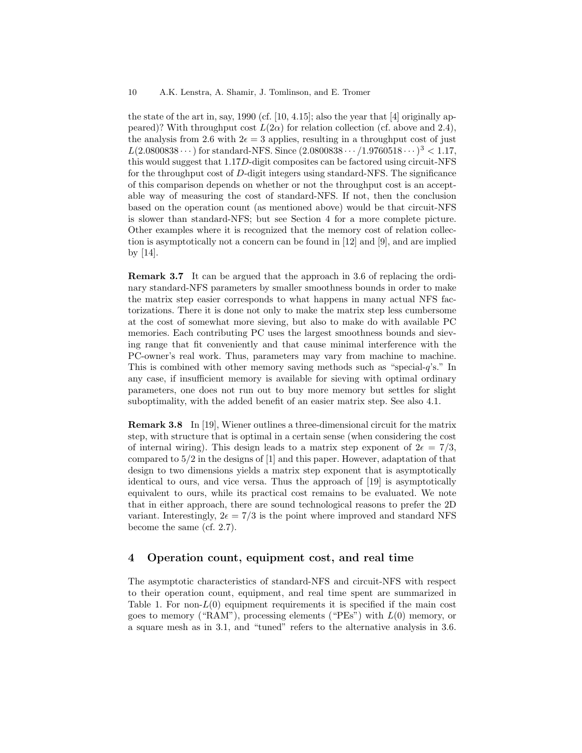the state of the art in, say, 1990 (cf.  $[10, 4.15]$ ; also the year that  $[4]$  originally appeared)? With throughput cost  $L(2\alpha)$  for relation collection (cf. above and 2.4), the analysis from 2.6 with  $2\epsilon = 3$  applies, resulting in a throughput cost of just  $L(2.0800838 \cdots)$  for standard-NFS. Since  $(2.0800838 \cdots / 1.9760518 \cdots)^3 < 1.17$ , this would suggest that 1.17D-digit composites can be factored using circuit-NFS for the throughput cost of D-digit integers using standard-NFS. The significance of this comparison depends on whether or not the throughput cost is an acceptable way of measuring the cost of standard-NFS. If not, then the conclusion based on the operation count (as mentioned above) would be that circuit-NFS is slower than standard-NFS; but see Section 4 for a more complete picture. Other examples where it is recognized that the memory cost of relation collection is asymptotically not a concern can be found in [12] and [9], and are implied by [14].

Remark 3.7 It can be argued that the approach in 3.6 of replacing the ordinary standard-NFS parameters by smaller smoothness bounds in order to make the matrix step easier corresponds to what happens in many actual NFS factorizations. There it is done not only to make the matrix step less cumbersome at the cost of somewhat more sieving, but also to make do with available PC memories. Each contributing PC uses the largest smoothness bounds and sieving range that fit conveniently and that cause minimal interference with the PC-owner's real work. Thus, parameters may vary from machine to machine. This is combined with other memory saving methods such as "special- $q$ 's." In any case, if insufficient memory is available for sieving with optimal ordinary parameters, one does not run out to buy more memory but settles for slight suboptimality, with the added benefit of an easier matrix step. See also 4.1.

Remark 3.8 In [19], Wiener outlines a three-dimensional circuit for the matrix step, with structure that is optimal in a certain sense (when considering the cost of internal wiring). This design leads to a matrix step exponent of  $2\epsilon = 7/3$ , compared to 5/2 in the designs of [1] and this paper. However, adaptation of that design to two dimensions yields a matrix step exponent that is asymptotically identical to ours, and vice versa. Thus the approach of [19] is asymptotically equivalent to ours, while its practical cost remains to be evaluated. We note that in either approach, there are sound technological reasons to prefer the 2D variant. Interestingly,  $2\epsilon = 7/3$  is the point where improved and standard NFS become the same (cf. 2.7).

# 4 Operation count, equipment cost, and real time

The asymptotic characteristics of standard-NFS and circuit-NFS with respect to their operation count, equipment, and real time spent are summarized in Table 1. For non- $L(0)$  equipment requirements it is specified if the main cost goes to memory ("RAM"), processing elements ("PEs") with  $L(0)$  memory, or a square mesh as in 3.1, and "tuned" refers to the alternative analysis in 3.6.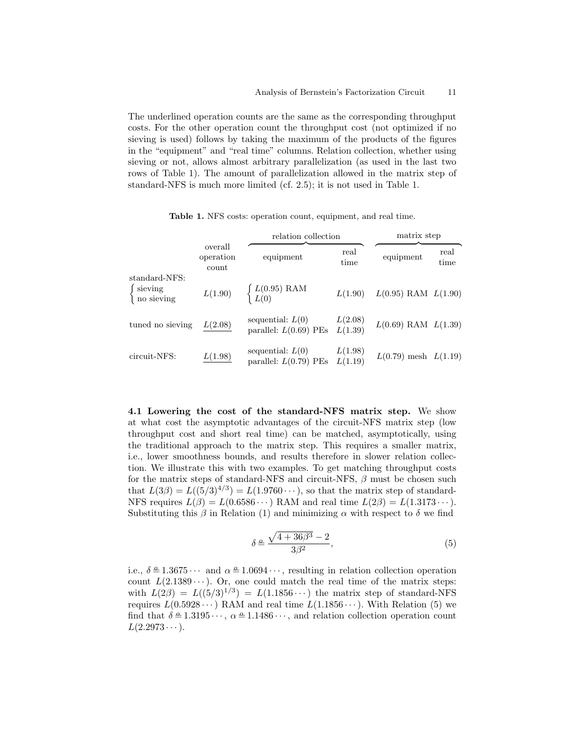The underlined operation counts are the same as the corresponding throughput costs. For the other operation count the throughput cost (not optimized if no sieving is used) follows by taking the maximum of the products of the figures in the "equipment" and "real time" columns. Relation collection, whether using sieving or not, allows almost arbitrary parallelization (as used in the last two rows of Table 1). The amount of parallelization allowed in the matrix step of standard-NFS is much more limited (cf. 2.5); it is not used in Table 1.

|                                               |                               | relation collection                                               |                    | matrix step              |              |
|-----------------------------------------------|-------------------------------|-------------------------------------------------------------------|--------------------|--------------------------|--------------|
|                                               | overall<br>operation<br>count | equipment                                                         | real<br>time       | equipment                | real<br>time |
| standard-NFS:<br>$\int$ sieving<br>no sieving |                               | $L(1.90)$ $\begin{cases} L(0.95) \text{ RAM} \\ L(0) \end{cases}$ | L(1.90)            | $L(0.95)$ RAM $L(1.90)$  |              |
| tuned no sieving                              | L(2.08)                       | sequential: $L(0)$<br>parallel: $L(0.69)$ PEs $L(1.39)$           | L(2.08)            | $L(0.69)$ RAM $L(1.39)$  |              |
| circuit-NFS:                                  | L(1.98)                       | sequential: $L(0)$<br>parallel: $L(0.79)$ PEs                     | L(1.98)<br>L(1.19) | $L(0.79)$ mesh $L(1.19)$ |              |

Table 1. NFS costs: operation count, equipment, and real time.

4.1 Lowering the cost of the standard-NFS matrix step. We show at what cost the asymptotic advantages of the circuit-NFS matrix step (low throughput cost and short real time) can be matched, asymptotically, using the traditional approach to the matrix step. This requires a smaller matrix, i.e., lower smoothness bounds, and results therefore in slower relation collection. We illustrate this with two examples. To get matching throughput costs for the matrix steps of standard-NFS and circuit-NFS,  $\beta$  must be chosen such that  $L(3\beta) = L((5/3)^{4/3}) = L(1.9760 \cdots)$ , so that the matrix step of standard-NFS requires  $L(\beta) = L(0.6586 \cdots)$  RAM and real time  $L(2\beta) = L(1.3173 \cdots)$ . Substituting this  $\beta$  in Relation (1) and minimizing  $\alpha$  with respect to  $\delta$  we find

$$
\delta \triangleq \frac{\sqrt{4 + 36\beta^3} - 2}{3\beta^2},\tag{5}
$$

i.e.,  $\delta = 1.3675 \cdots$  and  $\alpha = 1.0694 \cdots$ , resulting in relation collection operation count  $L(2.1389 \cdots)$ . Or, one could match the real time of the matrix steps: with  $L(2\beta) = L((5/3)^{1/3}) = L(1.1856 \cdots)$  the matrix step of standard-NFS requires  $L(0.5928 \cdots)$  RAM and real time  $L(1.1856 \cdots)$ . With Relation (5) we find that  $\delta = 1.3195 \cdots$ ,  $\alpha = 1.1486 \cdots$ , and relation collection operation count  $L(2.2973 \cdots).$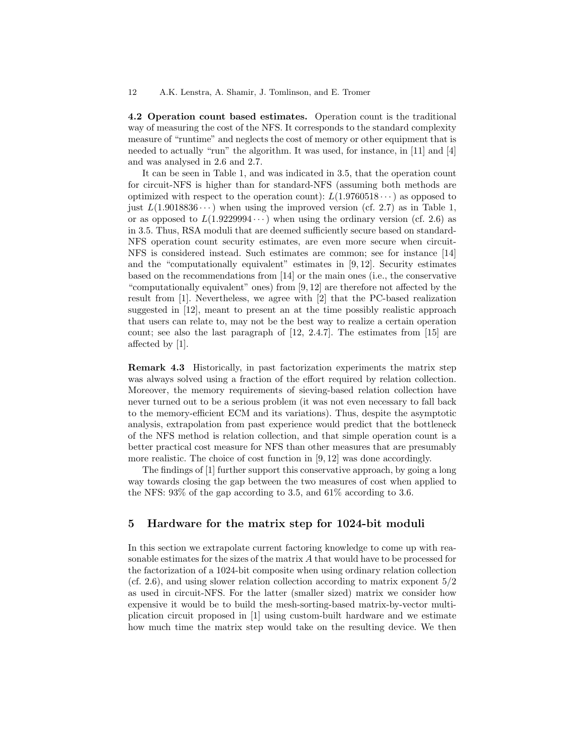4.2 Operation count based estimates. Operation count is the traditional way of measuring the cost of the NFS. It corresponds to the standard complexity measure of "runtime" and neglects the cost of memory or other equipment that is needed to actually "run" the algorithm. It was used, for instance, in [11] and [4] and was analysed in 2.6 and 2.7.

It can be seen in Table 1, and was indicated in 3.5, that the operation count for circuit-NFS is higher than for standard-NFS (assuming both methods are optimized with respect to the operation count):  $L(1.9760518 \cdots)$  as opposed to just  $L(1.9018836 \cdots)$  when using the improved version (cf. 2.7) as in Table 1, or as opposed to  $L(1.9229994 \cdots)$  when using the ordinary version (cf. 2.6) as in 3.5. Thus, RSA moduli that are deemed sufficiently secure based on standard-NFS operation count security estimates, are even more secure when circuit-NFS is considered instead. Such estimates are common; see for instance [14] and the "computationally equivalent" estimates in [9, 12]. Security estimates based on the recommendations from [14] or the main ones (i.e., the conservative "computationally equivalent" ones) from [9, 12] are therefore not affected by the result from [1]. Nevertheless, we agree with [2] that the PC-based realization suggested in [12], meant to present an at the time possibly realistic approach that users can relate to, may not be the best way to realize a certain operation count; see also the last paragraph of [12, 2.4.7]. The estimates from [15] are affected by [1].

Remark 4.3 Historically, in past factorization experiments the matrix step was always solved using a fraction of the effort required by relation collection. Moreover, the memory requirements of sieving-based relation collection have never turned out to be a serious problem (it was not even necessary to fall back to the memory-efficient ECM and its variations). Thus, despite the asymptotic analysis, extrapolation from past experience would predict that the bottleneck of the NFS method is relation collection, and that simple operation count is a better practical cost measure for NFS than other measures that are presumably more realistic. The choice of cost function in [9, 12] was done accordingly.

The findings of [1] further support this conservative approach, by going a long way towards closing the gap between the two measures of cost when applied to the NFS: 93% of the gap according to 3.5, and 61% according to 3.6.

#### 5 Hardware for the matrix step for 1024-bit moduli

In this section we extrapolate current factoring knowledge to come up with reasonable estimates for the sizes of the matrix A that would have to be processed for the factorization of a 1024-bit composite when using ordinary relation collection (cf. 2.6), and using slower relation collection according to matrix exponent  $5/2$ as used in circuit-NFS. For the latter (smaller sized) matrix we consider how expensive it would be to build the mesh-sorting-based matrix-by-vector multiplication circuit proposed in [1] using custom-built hardware and we estimate how much time the matrix step would take on the resulting device. We then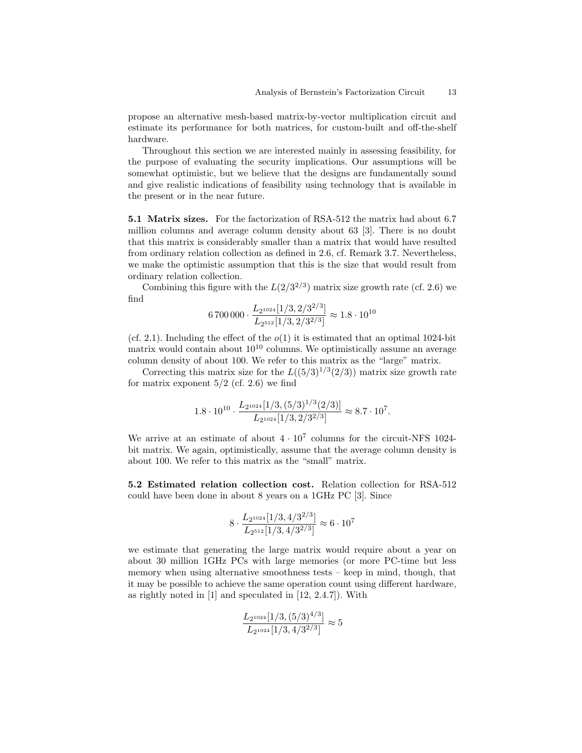propose an alternative mesh-based matrix-by-vector multiplication circuit and estimate its performance for both matrices, for custom-built and off-the-shelf hardware.

Throughout this section we are interested mainly in assessing feasibility, for the purpose of evaluating the security implications. Our assumptions will be somewhat optimistic, but we believe that the designs are fundamentally sound and give realistic indications of feasibility using technology that is available in the present or in the near future.

5.1 Matrix sizes. For the factorization of RSA-512 the matrix had about 6.7 million columns and average column density about 63 [3]. There is no doubt that this matrix is considerably smaller than a matrix that would have resulted from ordinary relation collection as defined in 2.6, cf. Remark 3.7. Nevertheless, we make the optimistic assumption that this is the size that would result from ordinary relation collection.

Combining this figure with the  $L(2/3^{2/3})$  matrix size growth rate (cf. 2.6) we find

$$
6700\,000 \cdot \frac{L_{2^{1024}}[1/3, 2/3^{2/3}]}{L_{2^{512}}[1/3, 2/3^{2/3}]} \approx 1.8 \cdot 10^{10}
$$

(cf. 2.1). Including the effect of the  $o(1)$  it is estimated that an optimal 1024-bit matrix would contain about  $10^{10}$  columns. We optimistically assume an average column density of about 100. We refer to this matrix as the "large" matrix.

Correcting this matrix size for the  $L((5/3)^{1/3}(2/3))$  matrix size growth rate for matrix exponent  $5/2$  (cf. 2.6) we find

$$
1.8 \cdot 10^{10} \cdot \frac{L_{2^{1024}}[1/3, (5/3)^{1/3}(2/3)]}{L_{2^{1024}}[1/3, 2/3^{2/3}]} \approx 8.7 \cdot 10^7.
$$

We arrive at an estimate of about  $4 \cdot 10^7$  columns for the circuit-NFS 1024bit matrix. We again, optimistically, assume that the average column density is about 100. We refer to this matrix as the "small" matrix.

5.2 Estimated relation collection cost. Relation collection for RSA-512 could have been done in about 8 years on a 1GHz PC [3]. Since

$$
8 \cdot \frac{L_{2^{1024}}[1/3, 4/3^{2/3}]}{L_{2^{512}}[1/3, 4/3^{2/3}]} \approx 6 \cdot 10^7
$$

we estimate that generating the large matrix would require about a year on about 30 million 1GHz PCs with large memories (or more PC-time but less memory when using alternative smoothness tests – keep in mind, though, that it may be possible to achieve the same operation count using different hardware, as rightly noted in [1] and speculated in [12, 2.4.7]). With

$$
\frac{L_{2^{1024}}[1/3,(5/3)^{4/3}]}{L_{2^{1024}}[1/3,4/3^{2/3}]} \approx 5
$$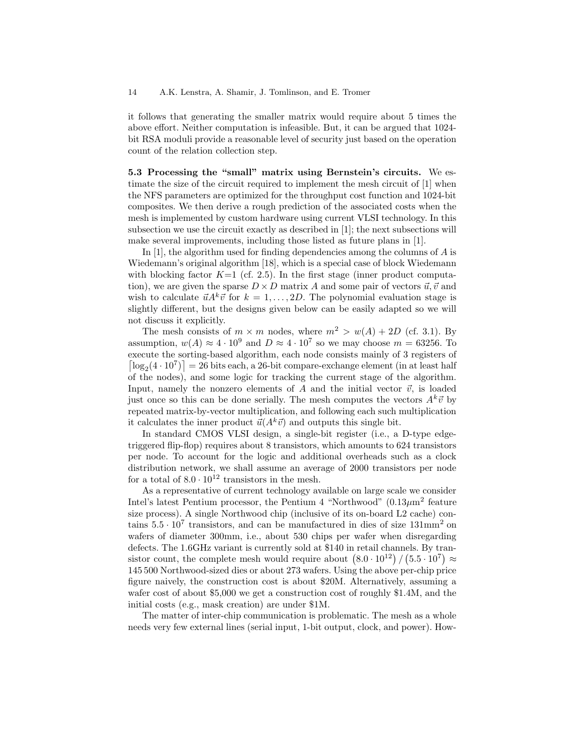it follows that generating the smaller matrix would require about 5 times the above effort. Neither computation is infeasible. But, it can be argued that 1024 bit RSA moduli provide a reasonable level of security just based on the operation count of the relation collection step.

5.3 Processing the "small" matrix using Bernstein's circuits. We estimate the size of the circuit required to implement the mesh circuit of [1] when the NFS parameters are optimized for the throughput cost function and 1024-bit composites. We then derive a rough prediction of the associated costs when the mesh is implemented by custom hardware using current VLSI technology. In this subsection we use the circuit exactly as described in [1]; the next subsections will make several improvements, including those listed as future plans in [1].

In  $[1]$ , the algorithm used for finding dependencies among the columns of A is Wiedemann's original algorithm [18], which is a special case of block Wiedemann with blocking factor  $K=1$  (cf. 2.5). In the first stage (inner product computation), we are given the sparse  $D \times D$  matrix A and some pair of vectors  $\vec{u}, \vec{v}$  and wish to calculate  $\vec{u}A^k\vec{v}$  for  $k = 1, \ldots, 2D$ . The polynomial evaluation stage is slightly different, but the designs given below can be easily adapted so we will not discuss it explicitly.

The mesh consists of  $m \times m$  nodes, where  $m^2 > w(A) + 2D$  (cf. 3.1). By assumption,  $w(A) \approx 4 \cdot 10^9$  and  $D \approx 4 \cdot 10^7$  so we may choose  $m = 63256$ . To execute the sorting-based algorithm, each node consists mainly of 3 registers of  $\lceil \log_2(4 \cdot 10^7) \rceil = 26$  bits each, a 26-bit compare-exchange element (in at least half of the nodes), and some logic for tracking the current stage of the algorithm. Input, namely the nonzero elements of A and the initial vector  $\vec{v}$ , is loaded just once so this can be done serially. The mesh computes the vectors  $A^k\vec{v}$  by repeated matrix-by-vector multiplication, and following each such multiplication it calculates the inner product  $\vec{u}(A^k \vec{v})$  and outputs this single bit.

In standard CMOS VLSI design, a single-bit register (i.e., a D-type edgetriggered flip-flop) requires about 8 transistors, which amounts to 624 transistors per node. To account for the logic and additional overheads such as a clock distribution network, we shall assume an average of 2000 transistors per node for a total of  $8.0 \cdot 10^{12}$  transistors in the mesh.

As a representative of current technology available on large scale we consider Intel's latest Pentium processor, the Pentium 4 "Northwood"  $(0.13 \mu m^2$  feature size process). A single Northwood chip (inclusive of its on-board L2 cache) contains  $5.5 \cdot 10^7$  transistors, and can be manufactured in dies of size  $131 \text{mm}^2$  on wafers of diameter 300mm, i.e., about 530 chips per wafer when disregarding defects. The 1.6GHz variant is currently sold at \$140 in retail channels. By transistor count, the complete mesh would require about  $(8.0 \cdot 10^{12}) / (5.5 \cdot 10^7) \approx$ 145 500 Northwood-sized dies or about 273 wafers. Using the above per-chip price figure naively, the construction cost is about \$20M. Alternatively, assuming a wafer cost of about \$5,000 we get a construction cost of roughly \$1.4M, and the initial costs (e.g., mask creation) are under \$1M.

The matter of inter-chip communication is problematic. The mesh as a whole needs very few external lines (serial input, 1-bit output, clock, and power). How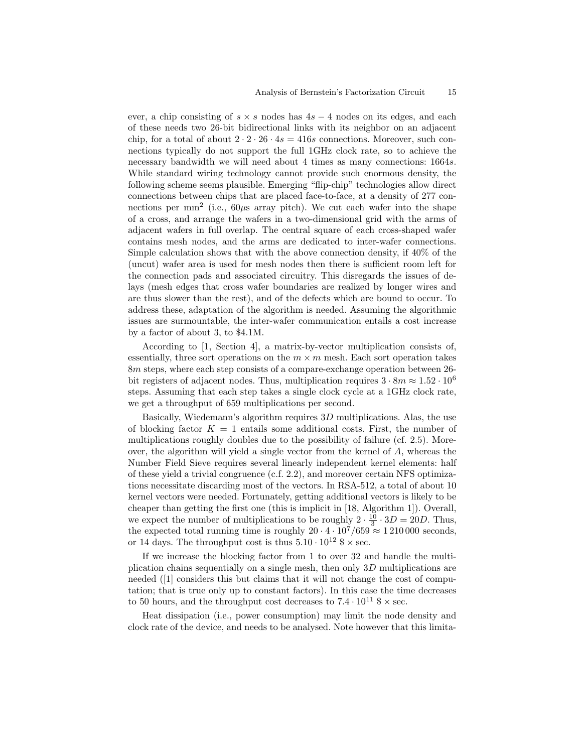ever, a chip consisting of  $s \times s$  nodes has  $4s - 4$  nodes on its edges, and each of these needs two 26-bit bidirectional links with its neighbor on an adjacent chip, for a total of about  $2 \cdot 2 \cdot 26 \cdot 4s = 416s$  connections. Moreover, such connections typically do not support the full 1GHz clock rate, so to achieve the necessary bandwidth we will need about 4 times as many connections: 1664s. While standard wiring technology cannot provide such enormous density, the following scheme seems plausible. Emerging "flip-chip" technologies allow direct connections between chips that are placed face-to-face, at a density of 277 connections per  $mm^2$  (i.e.,  $60\mu s$  array pitch). We cut each wafer into the shape of a cross, and arrange the wafers in a two-dimensional grid with the arms of adjacent wafers in full overlap. The central square of each cross-shaped wafer contains mesh nodes, and the arms are dedicated to inter-wafer connections. Simple calculation shows that with the above connection density, if 40% of the (uncut) wafer area is used for mesh nodes then there is sufficient room left for the connection pads and associated circuitry. This disregards the issues of delays (mesh edges that cross wafer boundaries are realized by longer wires and are thus slower than the rest), and of the defects which are bound to occur. To address these, adaptation of the algorithm is needed. Assuming the algorithmic issues are surmountable, the inter-wafer communication entails a cost increase by a factor of about 3, to \$4.1M.

According to [1, Section 4], a matrix-by-vector multiplication consists of, essentially, three sort operations on the  $m \times m$  mesh. Each sort operation takes 8m steps, where each step consists of a compare-exchange operation between 26 bit registers of adjacent nodes. Thus, multiplication requires  $3 \cdot 8m \approx 1.52 \cdot 10^6$ steps. Assuming that each step takes a single clock cycle at a 1GHz clock rate, we get a throughput of 659 multiplications per second.

Basically, Wiedemann's algorithm requires  $3D$  multiplications. Alas, the use of blocking factor  $K = 1$  entails some additional costs. First, the number of multiplications roughly doubles due to the possibility of failure (cf. 2.5). Moreover, the algorithm will yield a single vector from the kernel of  $A$ , whereas the Number Field Sieve requires several linearly independent kernel elements: half of these yield a trivial congruence (c.f. 2.2), and moreover certain NFS optimizations necessitate discarding most of the vectors. In RSA-512, a total of about 10 kernel vectors were needed. Fortunately, getting additional vectors is likely to be cheaper than getting the first one (this is implicit in [18, Algorithm 1]). Overall, we expect the number of multiplications to be roughly  $2 \cdot \frac{10}{3} \cdot 3D = 20D$ . Thus, the expected total running time is roughly  $20 \cdot 4 \cdot 10^7 / 659 \approx 1210000$  seconds, or 14 days. The throughput cost is thus  $5.10 \cdot 10^{12}$  \$  $\times$  sec.

If we increase the blocking factor from 1 to over 32 and handle the multiplication chains sequentially on a single mesh, then only 3D multiplications are needed ([1] considers this but claims that it will not change the cost of computation; that is true only up to constant factors). In this case the time decreases to 50 hours, and the throughput cost decreases to  $7.4 \cdot 10^{11}$  \$  $\times$  sec.

Heat dissipation (i.e., power consumption) may limit the node density and clock rate of the device, and needs to be analysed. Note however that this limita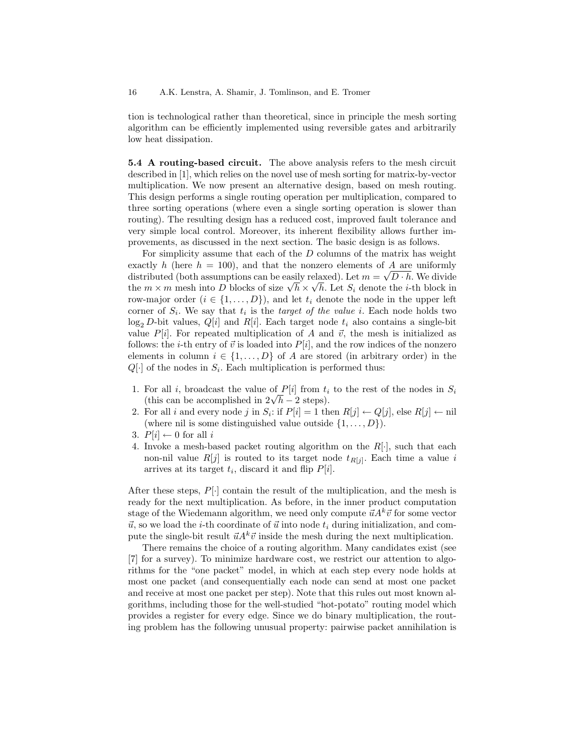tion is technological rather than theoretical, since in principle the mesh sorting algorithm can be efficiently implemented using reversible gates and arbitrarily low heat dissipation.

5.4 A routing-based circuit. The above analysis refers to the mesh circuit described in [1], which relies on the novel use of mesh sorting for matrix-by-vector multiplication. We now present an alternative design, based on mesh routing. This design performs a single routing operation per multiplication, compared to three sorting operations (where even a single sorting operation is slower than routing). The resulting design has a reduced cost, improved fault tolerance and very simple local control. Moreover, its inherent flexibility allows further improvements, as discussed in the next section. The basic design is as follows.

For simplicity assume that each of the D columns of the matrix has weight exactly h (here  $h = 100$ ), and that the nonzero elements of A are uniformly distributed (both assumptions can be easily relaxed). Let  $m = \sqrt{D \cdot h}$ . We divide the  $m \times m$  mesh into D blocks of size  $\sqrt{h} \times \sqrt{h}$ . Let  $S_i$  denote the *i*-th block in row-major order  $(i \in \{1, ..., D\})$ , and let  $t_i$  denote the node in the upper left corner of  $S_i$ . We say that  $t_i$  is the *target of the value i*. Each node holds two  $\log_2 D$ -bit values,  $Q[i]$  and  $R[i]$ . Each target node  $t_i$  also contains a single-bit value  $P[i]$ . For repeated multiplication of A and  $\vec{v}$ , the mesh is initialized as follows: the *i*-th entry of  $\vec{v}$  is loaded into  $P[i]$ , and the row indices of the nonzero elements in column  $i \in \{1, ..., D\}$  of A are stored (in arbitrary order) in the  $Q[\cdot]$  of the nodes in  $S_i$ . Each multiplication is performed thus:

- 1. For all i, broadcast the value of  $P[i]$  from  $t_i$  to the rest of the nodes in  $S_i$ (this can be accomplished in  $2\sqrt{h} - 2$  steps).
- 2. For all i and every node j in  $S_i$ : if  $P[i] = 1$  then  $R[j] \leftarrow Q[j]$ , else  $R[j] \leftarrow$  nil (where nil is some distinguished value outside  $\{1, \ldots, D\}$ ).
- 3.  $P[i] \leftarrow 0$  for all i
- 4. Invoke a mesh-based packet routing algorithm on the  $R[\cdot]$ , such that each non-nil value  $R[j]$  is routed to its target node  $t_{R[j]}$ . Each time a value i arrives at its target  $t_i$ , discard it and flip  $P[i]$ .

After these steps,  $P[\cdot]$  contain the result of the multiplication, and the mesh is ready for the next multiplication. As before, in the inner product computation stage of the Wiedemann algorithm, we need only compute  $\vec{u}A^k\vec{v}$  for some vector  $\vec{u}$ , so we load the *i*-th coordinate of  $\vec{u}$  into node  $t_i$  during initialization, and compute the single-bit result  $\vec{u}A^{k}\vec{v}$  inside the mesh during the next multiplication.

There remains the choice of a routing algorithm. Many candidates exist (see [7] for a survey). To minimize hardware cost, we restrict our attention to algorithms for the "one packet" model, in which at each step every node holds at most one packet (and consequentially each node can send at most one packet and receive at most one packet per step). Note that this rules out most known algorithms, including those for the well-studied "hot-potato" routing model which provides a register for every edge. Since we do binary multiplication, the routing problem has the following unusual property: pairwise packet annihilation is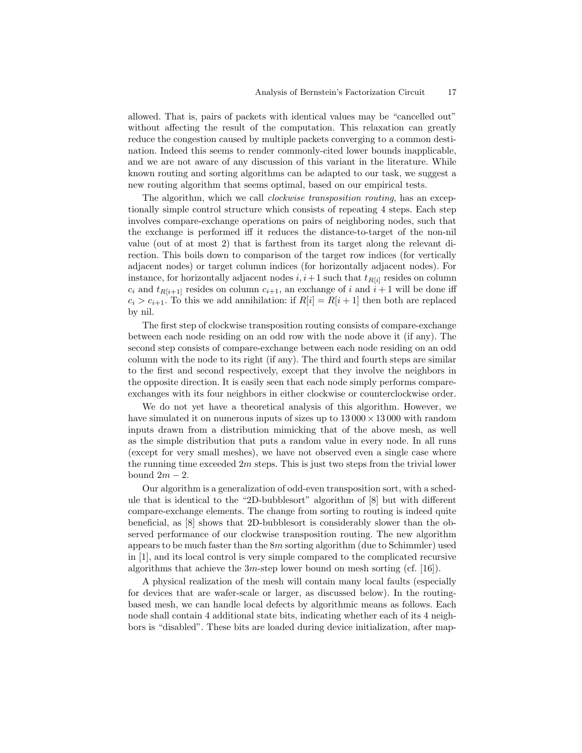allowed. That is, pairs of packets with identical values may be "cancelled out" without affecting the result of the computation. This relaxation can greatly reduce the congestion caused by multiple packets converging to a common destination. Indeed this seems to render commonly-cited lower bounds inapplicable, and we are not aware of any discussion of this variant in the literature. While known routing and sorting algorithms can be adapted to our task, we suggest a new routing algorithm that seems optimal, based on our empirical tests.

The algorithm, which we call *clockwise transposition routing*, has an exceptionally simple control structure which consists of repeating 4 steps. Each step involves compare-exchange operations on pairs of neighboring nodes, such that the exchange is performed iff it reduces the distance-to-target of the non-nil value (out of at most 2) that is farthest from its target along the relevant direction. This boils down to comparison of the target row indices (for vertically adjacent nodes) or target column indices (for horizontally adjacent nodes). For instance, for horizontally adjacent nodes  $i, i+1$  such that  $t_{R[i]}$  resides on column  $c_i$  and  $t_{R[i+1]}$  resides on column  $c_{i+1}$ , an exchange of i and  $i+1$  will be done iff  $c_i > c_{i+1}$ . To this we add annihilation: if  $R[i] = R[i+1]$  then both are replaced by nil.

The first step of clockwise transposition routing consists of compare-exchange between each node residing on an odd row with the node above it (if any). The second step consists of compare-exchange between each node residing on an odd column with the node to its right (if any). The third and fourth steps are similar to the first and second respectively, except that they involve the neighbors in the opposite direction. It is easily seen that each node simply performs compareexchanges with its four neighbors in either clockwise or counterclockwise order.

We do not yet have a theoretical analysis of this algorithm. However, we have simulated it on numerous inputs of sizes up to  $13\,000 \times 13\,000$  with random inputs drawn from a distribution mimicking that of the above mesh, as well as the simple distribution that puts a random value in every node. In all runs (except for very small meshes), we have not observed even a single case where the running time exceeded  $2m$  steps. This is just two steps from the trivial lower bound  $2m - 2$ .

Our algorithm is a generalization of odd-even transposition sort, with a schedule that is identical to the "2D-bubblesort" algorithm of [8] but with different compare-exchange elements. The change from sorting to routing is indeed quite beneficial, as [8] shows that 2D-bubblesort is considerably slower than the observed performance of our clockwise transposition routing. The new algorithm appears to be much faster than the 8m sorting algorithm (due to Schimmler) used in [1], and its local control is very simple compared to the complicated recursive algorithms that achieve the  $3m$ -step lower bound on mesh sorting (cf. [16]).

A physical realization of the mesh will contain many local faults (especially for devices that are wafer-scale or larger, as discussed below). In the routingbased mesh, we can handle local defects by algorithmic means as follows. Each node shall contain 4 additional state bits, indicating whether each of its 4 neighbors is "disabled". These bits are loaded during device initialization, after map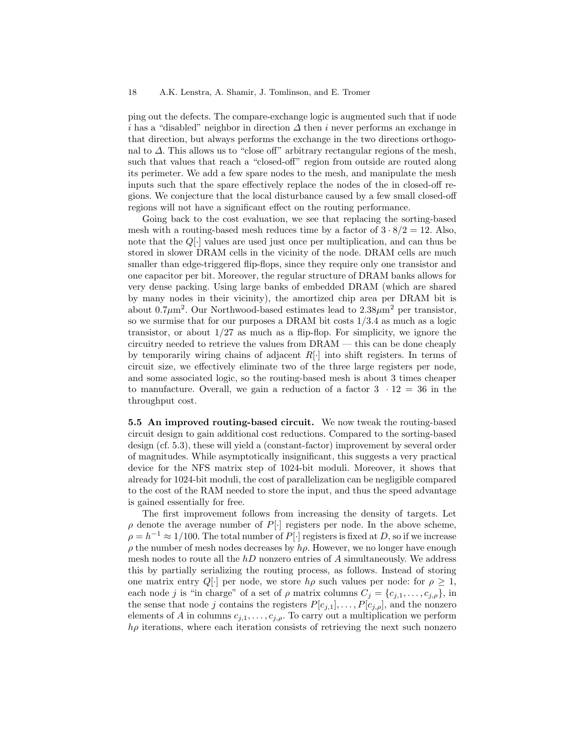ping out the defects. The compare-exchange logic is augmented such that if node i has a "disabled" neighbor in direction  $\Delta$  then i never performs an exchange in that direction, but always performs the exchange in the two directions orthogonal to  $\Delta$ . This allows us to "close off" arbitrary rectangular regions of the mesh, such that values that reach a "closed-off" region from outside are routed along its perimeter. We add a few spare nodes to the mesh, and manipulate the mesh inputs such that the spare effectively replace the nodes of the in closed-off regions. We conjecture that the local disturbance caused by a few small closed-off regions will not have a significant effect on the routing performance.

Going back to the cost evaluation, we see that replacing the sorting-based mesh with a routing-based mesh reduces time by a factor of  $3 \cdot 8/2 = 12$ . Also, note that the Q[·] values are used just once per multiplication, and can thus be stored in slower DRAM cells in the vicinity of the node. DRAM cells are much smaller than edge-triggered flip-flops, since they require only one transistor and one capacitor per bit. Moreover, the regular structure of DRAM banks allows for very dense packing. Using large banks of embedded DRAM (which are shared by many nodes in their vicinity), the amortized chip area per DRAM bit is about 0.7 $\mu$ m<sup>2</sup>. Our Northwood-based estimates lead to 2.38 $\mu$ m<sup>2</sup> per transistor, so we surmise that for our purposes a DRAM bit costs 1/3.4 as much as a logic transistor, or about  $1/27$  as much as a flip-flop. For simplicity, we ignore the circuitry needed to retrieve the values from DRAM — this can be done cheaply by temporarily wiring chains of adjacent  $R[\cdot]$  into shift registers. In terms of circuit size, we effectively eliminate two of the three large registers per node, and some associated logic, so the routing-based mesh is about 3 times cheaper to manufacture. Overall, we gain a reduction of a factor  $3 \cdot 12 = 36$  in the throughput cost.

5.5 An improved routing-based circuit. We now tweak the routing-based circuit design to gain additional cost reductions. Compared to the sorting-based design (cf. 5.3), these will yield a (constant-factor) improvement by several order of magnitudes. While asymptotically insignificant, this suggests a very practical device for the NFS matrix step of 1024-bit moduli. Moreover, it shows that already for 1024-bit moduli, the cost of parallelization can be negligible compared to the cost of the RAM needed to store the input, and thus the speed advantage is gained essentially for free.

The first improvement follows from increasing the density of targets. Let  $\rho$  denote the average number of  $P[\cdot]$  registers per node. In the above scheme,  $\rho = h^{-1} \approx 1/100$ . The total number of  $P[\cdot]$  registers is fixed at D, so if we increase  $\rho$  the number of mesh nodes decreases by  $h\rho$ . However, we no longer have enough mesh nodes to route all the  $hD$  nonzero entries of A simultaneously. We address this by partially serializing the routing process, as follows. Instead of storing one matrix entry  $Q[\cdot]$  per node, we store  $h\rho$  such values per node: for  $\rho \geq 1$ , each node j is "in charge" of a set of  $\rho$  matrix columns  $C_j = \{c_{j,1}, \ldots, c_{j,\rho}\}\$ , in the sense that node j contains the registers  $P[c_{j,1}], \ldots, P[c_{j,\rho}],$  and the nonzero elements of A in columns  $c_{j,1}, \ldots, c_{j,\rho}$ . To carry out a multiplication we perform  $h\rho$  iterations, where each iteration consists of retrieving the next such nonzero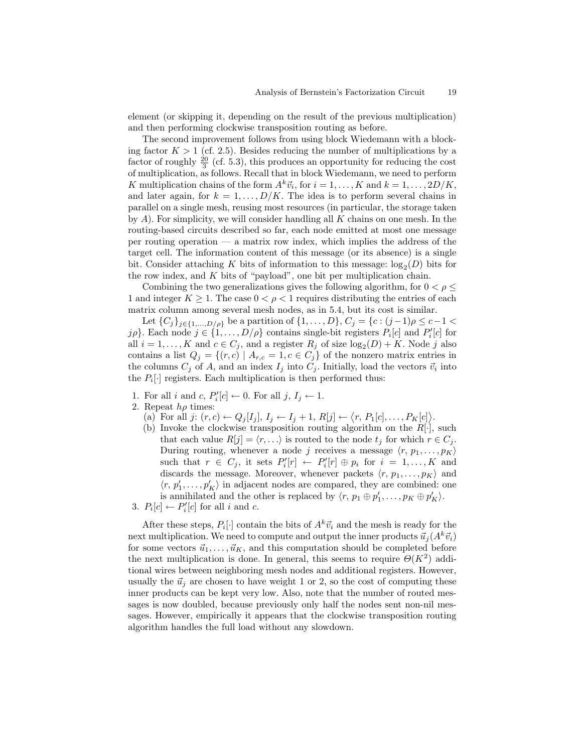element (or skipping it, depending on the result of the previous multiplication) and then performing clockwise transposition routing as before.

The second improvement follows from using block Wiedemann with a blocking factor  $K > 1$  (cf. 2.5). Besides reducing the number of multiplications by a factor of roughly  $\frac{20}{3}$  (cf. 5.3), this produces an opportunity for reducing the cost of multiplication, as follows. Recall that in block Wiedemann, we need to perform K multiplication chains of the form  $A^k \vec{v}_i$ , for  $i = 1, ..., K$  and  $k = 1, ..., 2D/K$ , and later again, for  $k = 1, \ldots, D/K$ . The idea is to perform several chains in parallel on a single mesh, reusing most resources (in particular, the storage taken by  $A$ ). For simplicity, we will consider handling all  $K$  chains on one mesh. In the routing-based circuits described so far, each node emitted at most one message per routing operation — a matrix row index, which implies the address of the target cell. The information content of this message (or its absence) is a single bit. Consider attaching K bits of information to this message:  $log_2(D)$  bits for the row index, and  $K$  bits of "payload", one bit per multiplication chain.

Combining the two generalizations gives the following algorithm, for  $0 < \rho \leq$ 1 and integer  $K \geq 1$ . The case  $0 \leq \rho \leq 1$  requires distributing the entries of each matrix column among several mesh nodes, as in 5.4, but its cost is similar.

Let  ${C_j}_{j \in \{1,...,D/\rho\}}$  be a partition of  $\{1,...,D\}$ ,  $C_j = {c : (j-1)\rho \leq c-1}$  $j\rho$ . Each node  $j \in \{1, ..., D/\rho\}$  contains single-bit registers  $P_i[c]$  and  $P'_i[c]$  for all  $i = 1, ..., K$  and  $c \in C_j$ , and a register  $R_j$  of size  $log_2(D) + K$ . Node j also contains a list  $Q_j = \{(r, c) | A_{r,c} = 1, c \in C_j\}$  of the nonzero matrix entries in the columns  $C_j$  of A, and an index  $I_j$  into  $C_j$ . Initially, load the vectors  $\vec{v}_i$  into the  $P_i[\cdot]$  registers. Each multiplication is then performed thus:

- 1. For all i and c,  $P'_i[c] \leftarrow 0$ . For all  $j, I_j \leftarrow 1$ .
- 2. Repeat  $h\rho$  times:
	- (a) For all  $j: (r, c) \leftarrow Q_j[I_j], I_j \leftarrow I_j + 1, R[j] \leftarrow \langle r, P_1[c], \ldots, P_K[c] \rangle$ .
	- (b) Invoke the clockwise transposition routing algorithm on the  $R[\cdot]$ , such that each value  $R[j] = \langle r, \ldots \rangle$  is routed to the node  $t_j$  for which  $r \in C_j$ . During routing, whenever a node j receives a message  $\langle r, p_1, \ldots, p_K \rangle$ such that  $r \in C_j$ , it sets  $P'_i[r] \leftarrow P'_i[r] \oplus p_i$  for  $i = 1, ..., K$  and discards the message. Moreover, whenever packets  $\langle r, p_1, \ldots, p_K \rangle$  and  $\langle r, \, p'_1, \ldots, p'_K \rangle$  in adjacent nodes are compared, they are combined: one is annihilated and the other is replaced by  $\langle r, p_1 \oplus p'_1, \ldots, p_K \oplus p'_K \rangle$ .

After these steps,  $P_i[\cdot]$  contain the bits of  $A^k\vec{v}_i$  and the mesh is ready for the next multiplication. We need to compute and output the inner products  $\vec{u}_i (A^k \vec{v}_i)$ for some vectors  $\vec{u}_1, \ldots, \vec{u}_K$ , and this computation should be completed before the next multiplication is done. In general, this seems to require  $\Theta(K^2)$  additional wires between neighboring mesh nodes and additional registers. However, usually the  $\vec{u}_j$  are chosen to have weight 1 or 2, so the cost of computing these inner products can be kept very low. Also, note that the number of routed messages is now doubled, because previously only half the nodes sent non-nil messages. However, empirically it appears that the clockwise transposition routing algorithm handles the full load without any slowdown.

<sup>3.</sup>  $P_i[c] \leftarrow P'_i[c]$  for all *i* and *c*.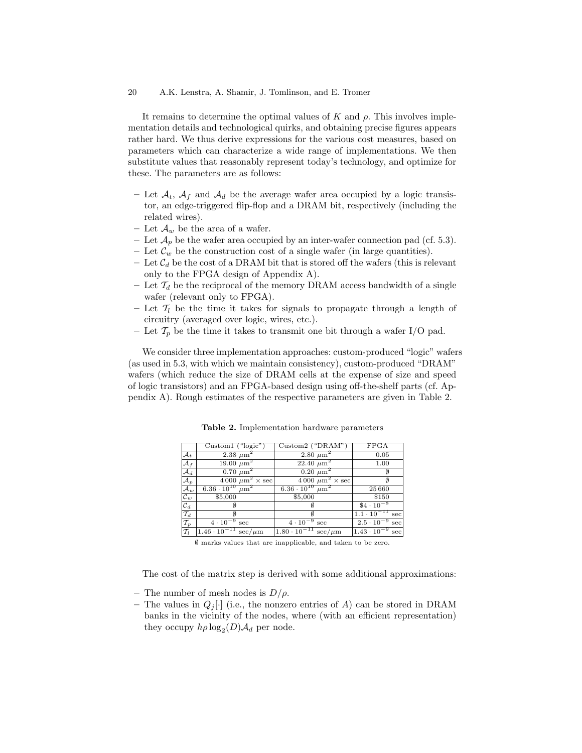#### 20 A.K. Lenstra, A. Shamir, J. Tomlinson, and E. Tromer

It remains to determine the optimal values of  $K$  and  $\rho$ . This involves implementation details and technological quirks, and obtaining precise figures appears rather hard. We thus derive expressions for the various cost measures, based on parameters which can characterize a wide range of implementations. We then substitute values that reasonably represent today's technology, and optimize for these. The parameters are as follows:

- Let  $\mathcal{A}_t$ ,  $\mathcal{A}_f$  and  $\mathcal{A}_d$  be the average wafer area occupied by a logic transistor, an edge-triggered flip-flop and a DRAM bit, respectively (including the related wires).
- Let  $\mathcal{A}_w$  be the area of a wafer.
- Let  $\mathcal{A}_p$  be the wafer area occupied by an inter-wafer connection pad (cf. 5.3).
- Let  $\mathcal{C}_w$  be the construction cost of a single wafer (in large quantities).
- Let  $\mathcal{C}_d$  be the cost of a DRAM bit that is stored off the wafers (this is relevant only to the FPGA design of Appendix A).
- Let  $\mathcal{T}_d$  be the reciprocal of the memory DRAM access bandwidth of a single wafer (relevant only to FPGA).
- Let  $\mathcal{T}_l$  be the time it takes for signals to propagate through a length of circuitry (averaged over logic, wires, etc.).
- Let  $\mathcal{T}_p$  be the time it takes to transmit one bit through a wafer I/O pad.

We consider three implementation approaches: custom-produced "logic" wafers (as used in 5.3, with which we maintain consistency), custom-produced "DRAM" wafers (which reduce the size of DRAM cells at the expense of size and speed of logic transistors) and an FPGA-based design using off-the-shelf parts (cf. Appendix A). Rough estimates of the respective parameters are given in Table 2.

|                            | $Custom1$ (" $logic$ ")                                                                              | Custom2 $("DRAM")$                        | <b>FPGA</b>              |
|----------------------------|------------------------------------------------------------------------------------------------------|-------------------------------------------|--------------------------|
| $\mathcal{A}_t$            | 2.38 $\mu$ m <sup>2</sup>                                                                            | 2.80 $\mu$ m <sup>2</sup>                 | 0.05                     |
| $\mathcal{A}_f$            | 19.00 $\mu$ m <sup>2</sup>                                                                           | 22.40 $\mu$ m <sup>2</sup>                | 1.00                     |
| $\overline{\mathcal{A}_d}$ | $0.70 \ \mu m^2$                                                                                     | $0.20 \mu m^2$                            |                          |
| $\mathcal{A}_p$            | $4000 \ \mu m^2 \times \text{sec}$                                                                   | $4000 \ \mu m^2 \times \text{sec}$        |                          |
| $\overline{\mathcal{A}_w}$ | $6.36 \cdot 10^{10} \mu m^2$                                                                         | $6.36 \cdot 10^{10}$ $\mu$ m <sup>2</sup> | 25 660                   |
| $\mathcal{C}_w$            | \$5,000                                                                                              | \$5,000                                   | \$150                    |
| $\mathcal{C}_d$            |                                                                                                      |                                           | $\$4 \cdot 10^{-8}$      |
| $\mathcal{T}_d$            |                                                                                                      |                                           | $1.1 \cdot 10^{-11}$ sec |
|                            | $\frac{T_p}{T_l}$ $\frac{4 \cdot 10^{-9} \text{ sec}}{1.46 \cdot 10^{-11} \text{ sec}/\mu \text{m}}$ | $4 \cdot 10^{-9}$ sec                     | $2.5 \cdot 10^{-9}$ sec  |
|                            |                                                                                                      | $1.80 \cdot 10^{-11}$ sec/ $\mu$ m        | $1.43 \cdot 10^{-9}$ sec |

Table 2. Implementation hardware parameters

∅ marks values that are inapplicable, and taken to be zero.

The cost of the matrix step is derived with some additional approximations:

- The number of mesh nodes is  $D/\rho$ .
- The values in  $Q_i[\cdot]$  (i.e., the nonzero entries of A) can be stored in DRAM banks in the vicinity of the nodes, where (with an efficient representation) they occupy  $h\rho \log_2(D) \mathcal{A}_d$  per node.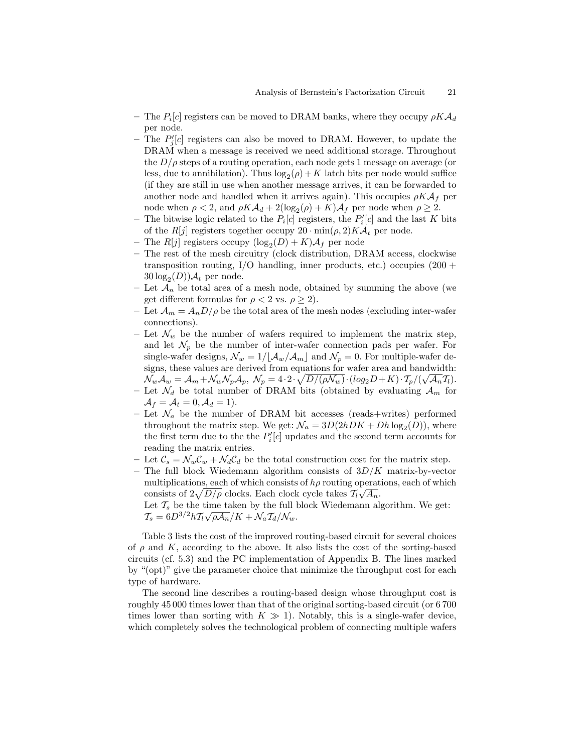- The  $P_i[c]$  registers can be moved to DRAM banks, where they occupy  $\rho K A_d$ per node.
- The  $P'_j[c]$  registers can also be moved to DRAM. However, to update the DRAM when a message is received we need additional storage. Throughout the  $D/\rho$  steps of a routing operation, each node gets 1 message on average (or less, due to annihilation). Thus  $\log_2(\rho) + K$  latch bits per node would suffice (if they are still in use when another message arrives, it can be forwarded to another node and handled when it arrives again). This occupies  $\rho K \mathcal{A}_f$  per node when  $\rho < 2$ , and  $\rho K \mathcal{A}_d + 2(\log_2(\rho) + K) \mathcal{A}_f$  per node when  $\rho \geq 2$ .
- The bitwise logic related to the  $P_i[c]$  registers, the  $P'_i[c]$  and the last K bits of the  $R[j]$  registers together occupy  $20 \cdot \min(\rho, 2) K \mathcal{A}_t$  per node.
- The  $R[j]$  registers occupy  $(\log_2(D) + K)\mathcal{A}_f$  per node
- The rest of the mesh circuitry (clock distribution, DRAM access, clockwise transposition routing,  $I/O$  handling, inner products, etc.) occupies  $(200 +$  $30\log_2(D))\mathcal{A}_t$  per node.
- Let  $\mathcal{A}_n$  be total area of a mesh node, obtained by summing the above (we get different formulas for  $\rho < 2$  vs.  $\rho \geq 2$ ).
- Let  $\mathcal{A}_m = A_n D/\rho$  be the total area of the mesh nodes (excluding inter-wafer connections).
- Let  $\mathcal{N}_w$  be the number of wafers required to implement the matrix step, and let  $\mathcal{N}_p$  be the number of inter-wafer connection pads per wafer. For single-wafer designs,  $\mathcal{N}_w = 1/\lfloor \mathcal{A}_w/\mathcal{A}_m \rfloor$  and  $\mathcal{N}_p = 0$ . For multiple-wafer designs, these values are derived from equations for wafer area and bandwidth:  $\mathcal{N}_w \mathcal{A}_w = \mathcal{A}_m + \mathcal{N}_w \mathcal{N}_p \mathcal{A}_p, \ \mathcal{N}_p = 4 \cdot 2 \cdot \sqrt{D/(\rho \mathcal{N}_w)} \cdot (\log_2 D + K) \cdot \mathcal{T}_p / (\sqrt{\mathcal{A}_n} \mathcal{T}_l).$
- Let  $\mathcal{N}_d$  be total number of DRAM bits (obtained by evaluating  $\mathcal{A}_m$  for  $\mathcal{A}_f = \mathcal{A}_t = 0, \mathcal{A}_d = 1$ .
- Let  $\mathcal{N}_a$  be the number of DRAM bit accesses (reads+writes) performed throughout the matrix step. We get:  $\mathcal{N}_a = 3D(2hDK + Dh \log_2(D))$ , where the first term due to the the  $P'_{i}[c]$  updates and the second term accounts for reading the matrix entries.
- Let  $\mathcal{C}_s = \mathcal{N}_w \mathcal{C}_w + \mathcal{N}_d \mathcal{C}_d$  be the total construction cost for the matrix step.
- The full block Wiedemann algorithm consists of  $3D/K$  matrix-by-vector multiplications, each of which consists of  $h\rho$  routing operations, each of which consists of  $2\sqrt{D/\rho}$  clocks. Each clock cycle takes  $T_l\sqrt{A_n}$ .
	- Let  $\mathcal{T}_s$  be the time taken by the full block Wiedemann algorithm. We get:  $\mathcal{T}_s = 6D^{3/2}hT_l\sqrt{\rho A_n}/K + \mathcal{N}_aT_d/\mathcal{N}_w.$

Table 3 lists the cost of the improved routing-based circuit for several choices of  $\rho$  and K, according to the above. It also lists the cost of the sorting-based circuits (cf. 5.3) and the PC implementation of Appendix B. The lines marked by "(opt)" give the parameter choice that minimize the throughput cost for each type of hardware.

The second line describes a routing-based design whose throughput cost is roughly 45 000 times lower than that of the original sorting-based circuit (or 6 700 times lower than sorting with  $K \gg 1$ ). Notably, this is a single-wafer device, which completely solves the technological problem of connecting multiple wafers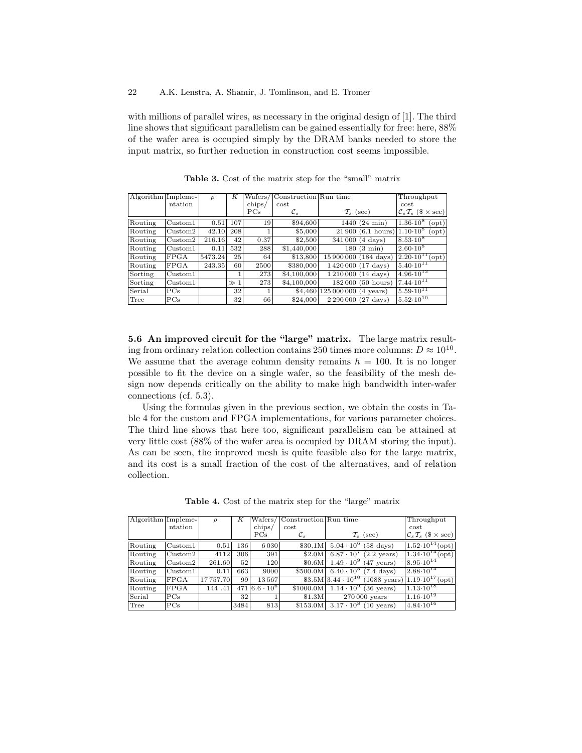with millions of parallel wires, as necessary in the original design of [1]. The third line shows that significant parallelism can be gained essentially for free: here, 88% of the wafer area is occupied simply by the DRAM banks needed to store the input matrix, so further reduction in construction cost seems impossible.

| Algorithm Impleme- |             | $\rho$  | к          | Wafers/         | Construction Run time |                                      | Throughput                          |
|--------------------|-------------|---------|------------|-----------------|-----------------------|--------------------------------------|-------------------------------------|
|                    | ntation     |         |            | $\langle$ hips/ | cost                  |                                      | cost                                |
|                    |             |         |            | PCs             | $\mathcal{C}_{s}$     | $\mathcal{T}_s$ (sec)                | $C_sT_s$ (\$ $\times$ sec)          |
| Routing            | Custom1     | 0.51    | 107        | 19              | \$94,600              | $(24 \text{ min})$<br>1440           | $1.36 \cdot 10^8$<br>$_{\rm (opt)}$ |
| Routing            | Custom2     | 42.10   | 208        |                 | \$5,000               | 21 900 (6.1 hours)                   | $1.10 \cdot 10^8$<br>$_{\rm (opt)}$ |
| Routing            | Custom2     | 216.16  | 42         | 0.37            | \$2,500               | $(4 \text{ days})$<br>341 000        | $8.53 \cdot 10^8$                   |
| Routing            | Custom1     | 0.11    | 532        | 288             | \$1,440,000           | $180(3 \text{ min})$                 | $2.60 \cdot 10^8$                   |
| Routing            | <b>FPGA</b> | 5473.24 | 25         | 64              | \$13,800              | 15 900 000<br>$(184 \text{ days})$   | $2.20 \cdot 10^{11}$ (opt)          |
| Routing            | <b>FPGA</b> | 243.35  | 60         | 2500            | \$380,000             | 1420000<br>$(17 \text{ days})$       | $5.40 \cdot 10^{11}$                |
| Sorting            | Custom1     |         |            | 273             | \$4,100,000           | 1 210 000 (14 days)                  | $4.96 \cdot 10^{12}$                |
| Sorting            | Custom1     |         | 1<br>$\gg$ | 273             | \$4,100,000           | $(50 \text{ hours})$<br>182 000      | $7.44 \cdot 10^{11}$                |
| Serial             | PCs         |         | 32         |                 |                       | $$4,460$ 125 000 000 (4 years)       | $5.59 \cdot 10^{11}$                |
| Tree               | PCs         |         | 32         | 66              | \$24,000              | 2 2 9 0 0 0 0<br>$(27 \text{ days})$ | $5.52 \cdot 10^{10}$                |

Table 3. Cost of the matrix step for the "small" matrix

5.6 An improved circuit for the "large" matrix. The large matrix resulting from ordinary relation collection contains 250 times more columns:  $D \approx 10^{10}$ . We assume that the average column density remains  $h = 100$ . It is no longer possible to fit the device on a single wafer, so the feasibility of the mesh design now depends critically on the ability to make high bandwidth inter-wafer connections (cf. 5.3).

Using the formulas given in the previous section, we obtain the costs in Table 4 for the custom and FPGA implementations, for various parameter choices. The third line shows that here too, significant parallelism can be attained at very little cost (88% of the wafer area is occupied by DRAM storing the input). As can be seen, the improved mesh is quite feasible also for the large matrix, and its cost is a small fraction of the cost of the alternatives, and of relation collection.

 $\text{Algorithm}$  Impleme-  $\rho$  K Wafers/ Construction Run time Throughput ntation chips/ cost cost cost PCs  $\mathcal{C}_s$   $\qquad \qquad \mathcal{T}_s$  (sec)  $\qquad \qquad \mathcal{C}_s\mathcal{T}_s$  (\$  $\times$  sec Routing Custom1 0.51 136 6 030 \$30.1M 5.04  $\cdot$  10<sup>6</sup> (58 days)<br>Routing Custom2 4112 306 391 \$2.0M 6.87  $\cdot$  10<sup>7</sup> (2.2 years  $\frac{1.52 \cdot 10^{14} (opt)}{}$ Custom2 4112 306 391  $$2.0M$ 6.87 \cdot 10^7 (2.2 \text{ years})$  $1.34 \cdot 10^{14}$ (opt) Routing  $\begin{bmatrix} \text{Custom2} & 261.60 & 52 & 120 \end{bmatrix}$  \$0.6M 1.49 · 10<sup>9</sup>  $(47 \text{ years})$  8.95 $\cdot 10^{14}$ Routing Custom1 0.11 663 9000 \$500.0M 6.40  $\cdot 10^5$  (7.4 days)  $2.88 \cdot 10^{14}$ Routing FPGA 17757.70 99 13567 \$3.5M 3.44  $\cdot 10^{10}$  (1088 years) 1.19 $\cdot 10^{17}$  (opt)<br>Routing FPGA 144 41 471 6.6  $\cdot 10^{6}$  \$1000.0M 1.14  $\cdot 10^{9}$  (36 years) 1.13 $\cdot 10^{18}$ Routing FPGA 144 .41  $471\,6.6 \cdot 10^{6}$  $$1000.0M$  1.14 · 10<sup>9</sup> (36 years) 1.13 · 10<sup>18</sup> Serial PCs 32 1 \$1.3M 270 000 years  $1.16 \cdot 10^{11}$ <br>Tree PCs 3484 813 \$153.0M 3.17 · 10<sup>8</sup> (10 years) 4.84 ·10<sup>1</sup> Tree PCs 3484 813 \$153.0M 3.17 · 10<sup>8</sup> (10 years) 4.84 · 10<sup>16</sup>

Table 4. Cost of the matrix step for the "large" matrix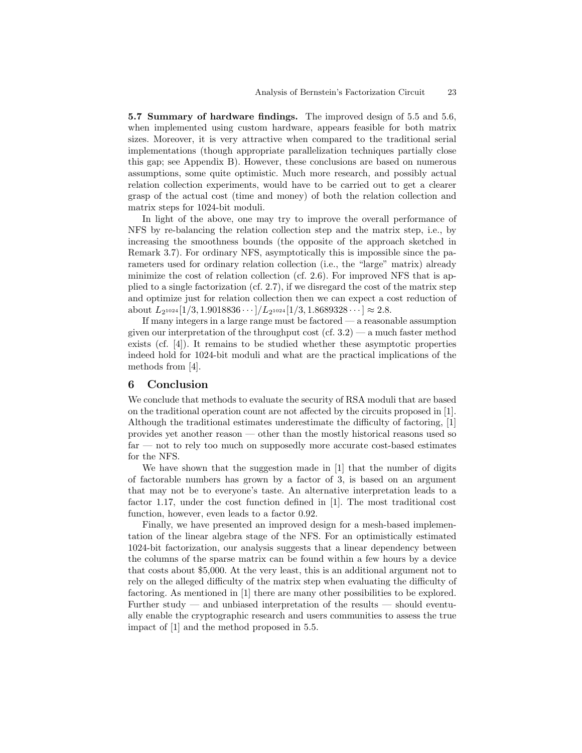5.7 Summary of hardware findings. The improved design of 5.5 and 5.6, when implemented using custom hardware, appears feasible for both matrix sizes. Moreover, it is very attractive when compared to the traditional serial implementations (though appropriate parallelization techniques partially close this gap; see Appendix B). However, these conclusions are based on numerous assumptions, some quite optimistic. Much more research, and possibly actual relation collection experiments, would have to be carried out to get a clearer grasp of the actual cost (time and money) of both the relation collection and matrix steps for 1024-bit moduli.

In light of the above, one may try to improve the overall performance of NFS by re-balancing the relation collection step and the matrix step, i.e., by increasing the smoothness bounds (the opposite of the approach sketched in Remark 3.7). For ordinary NFS, asymptotically this is impossible since the parameters used for ordinary relation collection (i.e., the "large" matrix) already minimize the cost of relation collection (cf. 2.6). For improved NFS that is applied to a single factorization (cf. 2.7), if we disregard the cost of the matrix step and optimize just for relation collection then we can expect a cost reduction of about  $L_{2^{1024}}[1/3, 1.9018836 \cdots]/L_{2^{1024}}[1/3, 1.8689328 \cdots] \approx 2.8.$ 

If many integers in a large range must be factored — a reasonable assumption given our interpretation of the throughput cost (cf.  $3.2$ ) — a much faster method exists (cf. [4]). It remains to be studied whether these asymptotic properties indeed hold for 1024-bit moduli and what are the practical implications of the methods from [4].

#### 6 Conclusion

We conclude that methods to evaluate the security of RSA moduli that are based on the traditional operation count are not affected by the circuits proposed in [1]. Although the traditional estimates underestimate the difficulty of factoring, [1] provides yet another reason — other than the mostly historical reasons used so far — not to rely too much on supposedly more accurate cost-based estimates for the NFS.

We have shown that the suggestion made in  $[1]$  that the number of digits of factorable numbers has grown by a factor of 3, is based on an argument that may not be to everyone's taste. An alternative interpretation leads to a factor 1.17, under the cost function defined in [1]. The most traditional cost function, however, even leads to a factor 0.92.

Finally, we have presented an improved design for a mesh-based implementation of the linear algebra stage of the NFS. For an optimistically estimated 1024-bit factorization, our analysis suggests that a linear dependency between the columns of the sparse matrix can be found within a few hours by a device that costs about \$5,000. At the very least, this is an additional argument not to rely on the alleged difficulty of the matrix step when evaluating the difficulty of factoring. As mentioned in [1] there are many other possibilities to be explored. Further study — and unbiased interpretation of the results — should eventually enable the cryptographic research and users communities to assess the true impact of [1] and the method proposed in 5.5.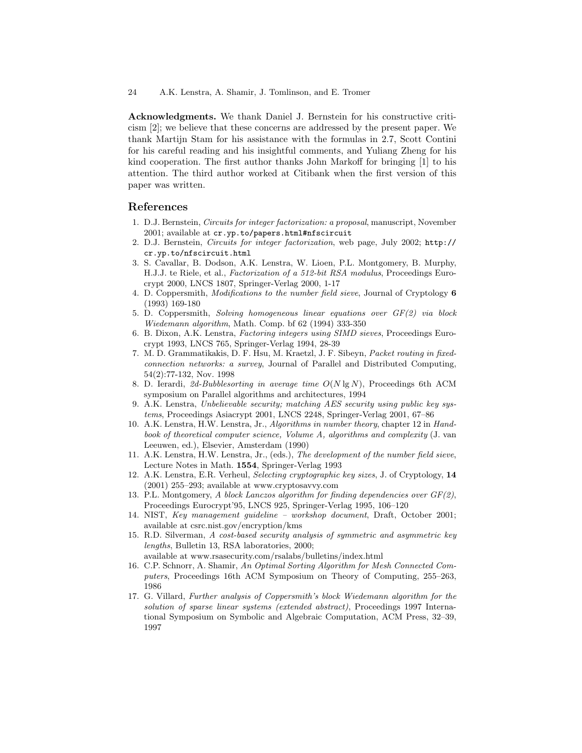Acknowledgments. We thank Daniel J. Bernstein for his constructive criticism [2]; we believe that these concerns are addressed by the present paper. We thank Martijn Stam for his assistance with the formulas in 2.7, Scott Contini for his careful reading and his insightful comments, and Yuliang Zheng for his kind cooperation. The first author thanks John Markoff for bringing [1] to his attention. The third author worked at Citibank when the first version of this paper was written.

# References

- 1. D.J. Bernstein, Circuits for integer factorization: a proposal, manuscript, November 2001; available at cr.yp.to/papers.html#nfscircuit
- 2. D.J. Bernstein, Circuits for integer factorization, web page, July 2002; http:// cr.yp.to/nfscircuit.html
- 3. S. Cavallar, B. Dodson, A.K. Lenstra, W. Lioen, P.L. Montgomery, B. Murphy, H.J.J. te Riele, et al., Factorization of a 512-bit RSA modulus, Proceedings Eurocrypt 2000, LNCS 1807, Springer-Verlag 2000, 1-17
- 4. D. Coppersmith, Modifications to the number field sieve, Journal of Cryptology 6 (1993) 169-180
- 5. D. Coppersmith, Solving homogeneous linear equations over GF(2) via block Wiedemann algorithm, Math. Comp. bf 62 (1994) 333-350
- 6. B. Dixon, A.K. Lenstra, Factoring integers using SIMD sieves, Proceedings Eurocrypt 1993, LNCS 765, Springer-Verlag 1994, 28-39
- 7. M. D. Grammatikakis, D. F. Hsu, M. Kraetzl, J. F. Sibeyn, Packet routing in fixedconnection networks: a survey, Journal of Parallel and Distributed Computing, 54(2):77-132, Nov. 1998
- 8. D. Ierardi, 2d-Bubblesorting in average time  $O(N \lg N)$ , Proceedings 6th ACM symposium on Parallel algorithms and architectures, 1994
- 9. A.K. Lenstra, Unbelievable security; matching AES security using public key systems, Proceedings Asiacrypt 2001, LNCS 2248, Springer-Verlag 2001, 67–86
- 10. A.K. Lenstra, H.W. Lenstra, Jr., Algorithms in number theory, chapter 12 in Handbook of theoretical computer science, Volume A, algorithms and complexity (J. van Leeuwen, ed.), Elsevier, Amsterdam (1990)
- 11. A.K. Lenstra, H.W. Lenstra, Jr., (eds.), The development of the number field sieve, Lecture Notes in Math. 1554, Springer-Verlag 1993
- 12. A.K. Lenstra, E.R. Verheul, Selecting cryptographic key sizes, J. of Cryptology, 14 (2001) 255–293; available at www.cryptosavvy.com
- 13. P.L. Montgomery, A block Lanczos algorithm for finding dependencies over  $GF(2)$ , Proceedings Eurocrypt'95, LNCS 925, Springer-Verlag 1995, 106–120
- 14. NIST, Key management guideline workshop document, Draft, October 2001; available at csrc.nist.gov/encryption/kms
- 15. R.D. Silverman, A cost-based security analysis of symmetric and asymmetric key lengths, Bulletin 13, RSA laboratories, 2000;

available at www.rsasecurity.com/rsalabs/bulletins/index.html

- 16. C.P. Schnorr, A. Shamir, An Optimal Sorting Algorithm for Mesh Connected Computers, Proceedings 16th ACM Symposium on Theory of Computing, 255–263, 1986
- 17. G. Villard, Further analysis of Coppersmith's block Wiedemann algorithm for the solution of sparse linear systems (extended abstract), Proceedings 1997 International Symposium on Symbolic and Algebraic Computation, ACM Press, 32–39, 1997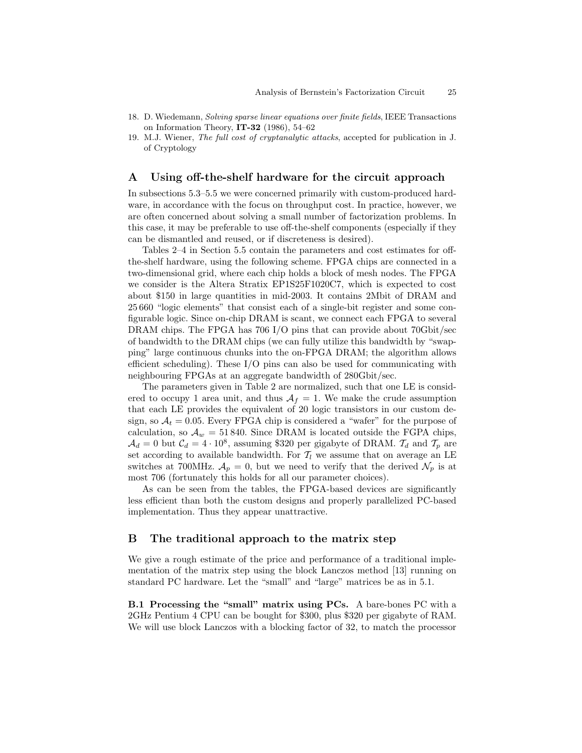- 18. D. Wiedemann, Solving sparse linear equations over finite fields, IEEE Transactions on Information Theory, IT-32 (1986), 54–62
- 19. M.J. Wiener, The full cost of cryptanalytic attacks, accepted for publication in J. of Cryptology

## A Using off-the-shelf hardware for the circuit approach

In subsections 5.3–5.5 we were concerned primarily with custom-produced hardware, in accordance with the focus on throughput cost. In practice, however, we are often concerned about solving a small number of factorization problems. In this case, it may be preferable to use off-the-shelf components (especially if they can be dismantled and reused, or if discreteness is desired).

Tables 2–4 in Section 5.5 contain the parameters and cost estimates for offthe-shelf hardware, using the following scheme. FPGA chips are connected in a two-dimensional grid, where each chip holds a block of mesh nodes. The FPGA we consider is the Altera Stratix EP1S25F1020C7, which is expected to cost about \$150 in large quantities in mid-2003. It contains 2Mbit of DRAM and 25 660 "logic elements" that consist each of a single-bit register and some configurable logic. Since on-chip DRAM is scant, we connect each FPGA to several DRAM chips. The FPGA has 706 I/O pins that can provide about 70Gbit/sec of bandwidth to the DRAM chips (we can fully utilize this bandwidth by "swapping" large continuous chunks into the on-FPGA DRAM; the algorithm allows efficient scheduling). These  $I/O$  pins can also be used for communicating with neighbouring FPGAs at an aggregate bandwidth of 280Gbit/sec.

The parameters given in Table 2 are normalized, such that one LE is considered to occupy 1 area unit, and thus  $A_f = 1$ . We make the crude assumption that each LE provides the equivalent of 20 logic transistors in our custom design, so  $A_t = 0.05$ . Every FPGA chip is considered a "wafer" for the purpose of calculation, so  $A_w = 51840$ . Since DRAM is located outside the FGPA chips,  $A_d = 0$  but  $C_d = 4 \cdot 10^8$ , assuming \$320 per gigabyte of DRAM.  $T_d$  and  $T_p$  are set according to available bandwidth. For  $\mathcal{T}_l$  we assume that on average an LE switches at 700MHz.  $A_p = 0$ , but we need to verify that the derived  $\mathcal{N}_p$  is at most 706 (fortunately this holds for all our parameter choices).

As can be seen from the tables, the FPGA-based devices are significantly less efficient than both the custom designs and properly parallelized PC-based implementation. Thus they appear unattractive.

### B The traditional approach to the matrix step

We give a rough estimate of the price and performance of a traditional implementation of the matrix step using the block Lanczos method [13] running on standard PC hardware. Let the "small" and "large" matrices be as in 5.1.

B.1 Processing the "small" matrix using PCs. A bare-bones PC with a 2GHz Pentium 4 CPU can be bought for \$300, plus \$320 per gigabyte of RAM. We will use block Lanczos with a blocking factor of 32, to match the processor